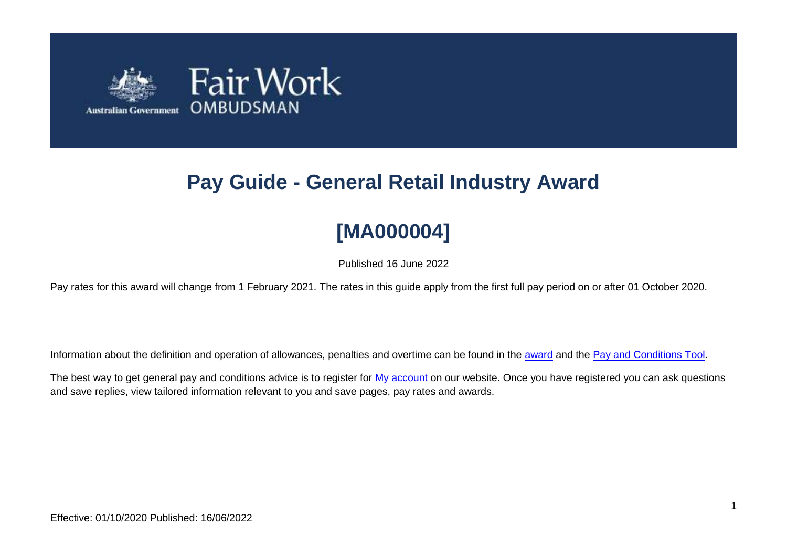

# **Pay Guide - General Retail Industry Award**

# **[MA000004]**

Published 16 June 2022

Pay rates for this award will change from 1 February 2021. The rates in this guide apply from the first full pay period on or after 01 October 2020.

Information about the definition and operation of allowances, penalties and overtime can be found in the [award](https://www.fairwork.gov.au/awards-and-agreements/awards/list-of-awards) and the [Pay and Conditions Tool.](https://calculate.fairwork.gov.au/)

The best way to get general pay and conditions advice is to register for [My account](https://www.fairwork.gov.au/my-account/registerpage.aspx) on our website. Once you have registered you can ask questions and save replies, view tailored information relevant to you and save pages, pay rates and awards.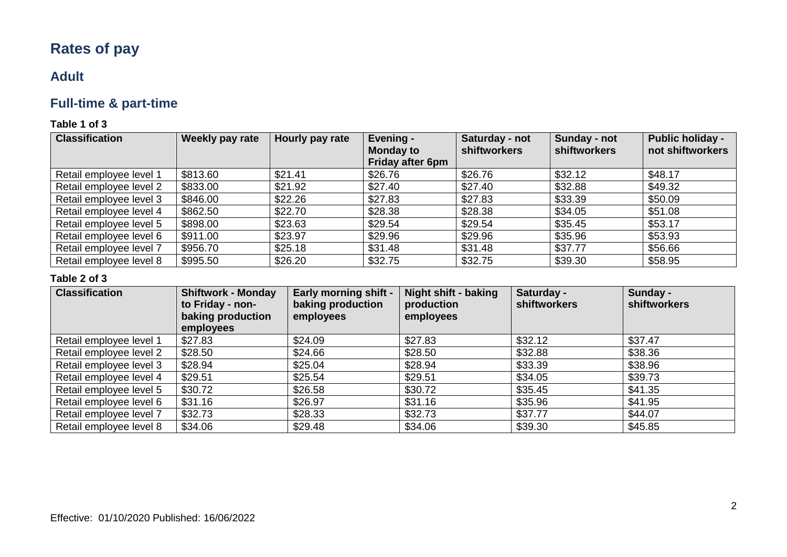## **Rates of pay**

### **Adult**

### **Full-time & part-time**

### **Table 1 of 3**

| <b>Classification</b>   | Weekly pay rate | Hourly pay rate | Evening -<br><b>Monday to</b><br><b>Friday after 6pm</b> | Saturday - not<br><b>shiftworkers</b> | Sunday - not<br>shiftworkers | <b>Public holiday -</b><br>not shiftworkers |
|-------------------------|-----------------|-----------------|----------------------------------------------------------|---------------------------------------|------------------------------|---------------------------------------------|
| Retail employee level 1 | \$813.60        | \$21.41         | \$26.76                                                  | \$26.76                               | \$32.12                      | \$48.17                                     |
| Retail employee level 2 | \$833.00        | \$21.92         | \$27.40                                                  | \$27.40                               | \$32.88                      | \$49.32                                     |
| Retail employee level 3 | \$846.00        | \$22.26         | \$27.83                                                  | \$27.83                               | \$33.39                      | \$50.09                                     |
| Retail employee level 4 | \$862.50        | \$22.70         | \$28.38                                                  | \$28.38                               | \$34.05                      | \$51.08                                     |
| Retail employee level 5 | \$898.00        | \$23.63         | \$29.54                                                  | \$29.54                               | \$35.45                      | \$53.17                                     |
| Retail employee level 6 | \$911.00        | \$23.97         | \$29.96                                                  | \$29.96                               | \$35.96                      | \$53.93                                     |
| Retail employee level 7 | \$956.70        | \$25.18         | \$31.48                                                  | \$31.48                               | \$37.77                      | \$56.66                                     |
| Retail employee level 8 | \$995.50        | \$26.20         | \$32.75                                                  | \$32.75                               | \$39.30                      | \$58.95                                     |

| <b>Classification</b>   | <b>Shiftwork - Monday</b><br>to Friday - non-<br>baking production<br>employees | <b>Early morning shift -</b><br>baking production<br>employees | <b>Night shift - baking</b><br>production<br>employees | Saturday -<br><b>shiftworkers</b> | Sunday -<br><b>shiftworkers</b> |
|-------------------------|---------------------------------------------------------------------------------|----------------------------------------------------------------|--------------------------------------------------------|-----------------------------------|---------------------------------|
| Retail employee level 1 | \$27.83                                                                         | \$24.09                                                        | \$27.83                                                | \$32.12                           | \$37.47                         |
| Retail employee level 2 | \$28.50                                                                         | \$24.66                                                        | \$28.50                                                | \$32.88                           | \$38.36                         |
| Retail employee level 3 | \$28.94                                                                         | \$25.04                                                        | \$28.94                                                | \$33.39                           | \$38.96                         |
| Retail employee level 4 | \$29.51                                                                         | \$25.54                                                        | \$29.51                                                | \$34.05                           | \$39.73                         |
| Retail employee level 5 | \$30.72                                                                         | \$26.58                                                        | \$30.72                                                | \$35.45                           | \$41.35                         |
| Retail employee level 6 | \$31.16                                                                         | \$26.97                                                        | \$31.16                                                | \$35.96                           | \$41.95                         |
| Retail employee level 7 | \$32.73                                                                         | \$28.33                                                        | \$32.73                                                | \$37.77                           | \$44.07                         |
| Retail employee level 8 | \$34.06                                                                         | \$29.48                                                        | \$34.06                                                | \$39.30                           | \$45.85                         |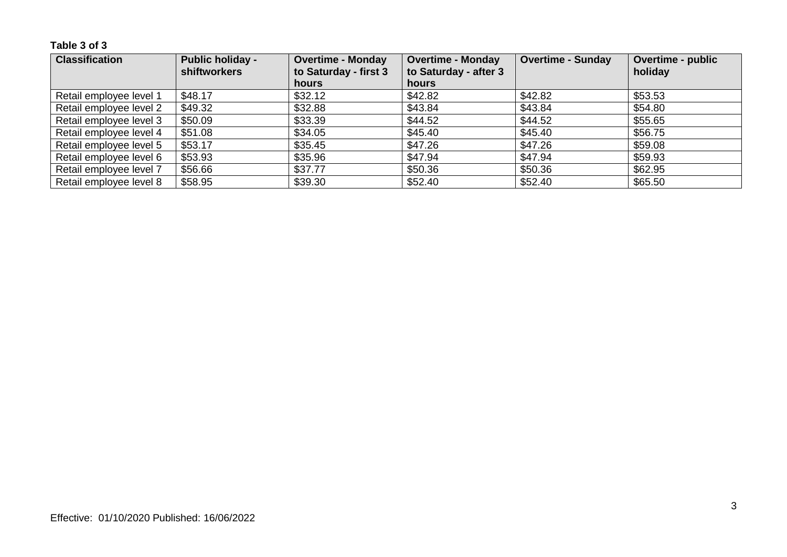| <b>Classification</b>   | <b>Public holiday -</b><br><b>shiftworkers</b> | <b>Overtime - Monday</b><br>to Saturday - first 3 | <b>Overtime - Monday</b><br>to Saturday - after 3 | <b>Overtime - Sunday</b> | Overtime - public<br>holiday |
|-------------------------|------------------------------------------------|---------------------------------------------------|---------------------------------------------------|--------------------------|------------------------------|
|                         |                                                | <b>hours</b>                                      | hours                                             |                          |                              |
| Retail employee level 1 | \$48.17                                        | \$32.12                                           | \$42.82                                           | \$42.82                  | \$53.53                      |
| Retail employee level 2 | \$49.32                                        | \$32.88                                           | \$43.84                                           | \$43.84                  | \$54.80                      |
| Retail employee level 3 | \$50.09                                        | \$33.39                                           | \$44.52                                           | \$44.52                  | \$55.65                      |
| Retail employee level 4 | \$51.08                                        | \$34.05                                           | \$45.40                                           | \$45.40                  | \$56.75                      |
| Retail employee level 5 | \$53.17                                        | \$35.45                                           | \$47.26                                           | \$47.26                  | \$59.08                      |
| Retail employee level 6 | \$53.93                                        | \$35.96                                           | \$47.94                                           | \$47.94                  | \$59.93                      |
| Retail employee level 7 | \$56.66                                        | \$37.77                                           | \$50.36                                           | \$50.36                  | \$62.95                      |
| Retail employee level 8 | \$58.95                                        | \$39.30                                           | \$52.40                                           | \$52.40                  | \$65.50                      |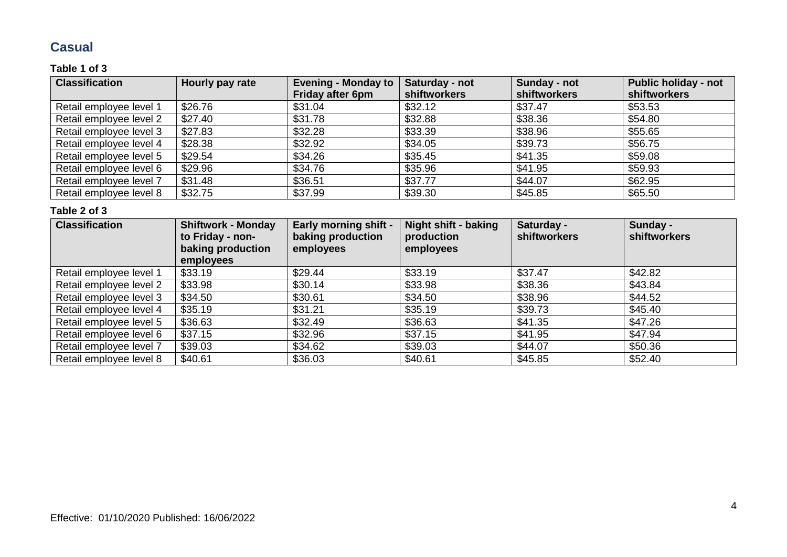### **Casual**

### **Table 1 of 3**

| <b>Classification</b>   | Hourly pay rate | <b>Evening - Monday to</b> | Saturday - not      | Sunday - not | <b>Public holiday - not</b> |
|-------------------------|-----------------|----------------------------|---------------------|--------------|-----------------------------|
|                         |                 | <b>Friday after 6pm</b>    | <b>shiftworkers</b> | shiftworkers | shiftworkers                |
| Retail employee level 1 | \$26.76         | \$31.04                    | \$32.12             | \$37.47      | \$53.53                     |
| Retail employee level 2 | \$27.40         | \$31.78                    | \$32.88             | \$38.36      | \$54.80                     |
| Retail employee level 3 | \$27.83         | \$32.28                    | \$33.39             | \$38.96      | \$55.65                     |
| Retail employee level 4 | \$28.38         | \$32.92                    | \$34.05             | \$39.73      | \$56.75                     |
| Retail employee level 5 | \$29.54         | \$34.26                    | \$35.45             | \$41.35      | \$59.08                     |
| Retail employee level 6 | \$29.96         | \$34.76                    | \$35.96             | \$41.95      | \$59.93                     |
| Retail employee level 7 | \$31.48         | \$36.51                    | \$37.77             | \$44.07      | \$62.95                     |
| Retail employee level 8 | \$32.75         | \$37.99                    | \$39.30             | \$45.85      | \$65.50                     |

| <b>Classification</b>   | <b>Shiftwork - Monday</b><br>to Friday - non-<br>baking production<br>employees | <b>Early morning shift -</b><br>baking production<br>employees | <b>Night shift - baking</b><br>production<br>employees | Saturday -<br><b>shiftworkers</b> | Sunday -<br><b>shiftworkers</b> |
|-------------------------|---------------------------------------------------------------------------------|----------------------------------------------------------------|--------------------------------------------------------|-----------------------------------|---------------------------------|
| Retail employee level 1 | \$33.19                                                                         | \$29.44                                                        | \$33.19                                                | \$37.47                           | \$42.82                         |
| Retail employee level 2 | \$33.98                                                                         | \$30.14                                                        | \$33.98                                                | \$38.36                           | \$43.84                         |
| Retail employee level 3 | \$34.50                                                                         | \$30.61                                                        | \$34.50                                                | \$38.96                           | \$44.52                         |
| Retail employee level 4 | \$35.19                                                                         | \$31.21                                                        | \$35.19                                                | \$39.73                           | \$45.40                         |
| Retail employee level 5 | \$36.63                                                                         | \$32.49                                                        | \$36.63                                                | \$41.35                           | \$47.26                         |
| Retail employee level 6 | \$37.15                                                                         | \$32.96                                                        | \$37.15                                                | \$41.95                           | \$47.94                         |
| Retail employee level 7 | \$39.03                                                                         | \$34.62                                                        | \$39.03                                                | \$44.07                           | \$50.36                         |
| Retail employee level 8 | \$40.61                                                                         | \$36.03                                                        | \$40.61                                                | \$45.85                           | \$52.40                         |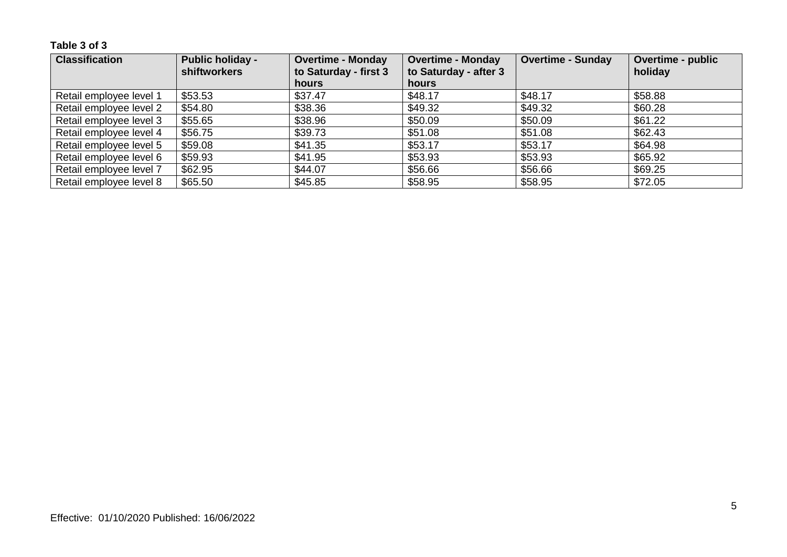| <b>Classification</b>   | <b>Public holiday -</b><br><b>shiftworkers</b> | <b>Overtime - Monday</b><br>to Saturday - first 3 | <b>Overtime - Monday</b><br>to Saturday - after 3 | <b>Overtime - Sunday</b> | <b>Overtime - public</b><br>holiday |
|-------------------------|------------------------------------------------|---------------------------------------------------|---------------------------------------------------|--------------------------|-------------------------------------|
|                         |                                                | hours                                             | hours                                             |                          |                                     |
| Retail employee level 1 | \$53.53                                        | \$37.47                                           | \$48.17                                           | \$48.17                  | \$58.88                             |
| Retail employee level 2 | \$54.80                                        | \$38.36                                           | \$49.32                                           | \$49.32                  | \$60.28                             |
| Retail employee level 3 | \$55.65                                        | \$38.96                                           | \$50.09                                           | \$50.09                  | \$61.22                             |
| Retail employee level 4 | \$56.75                                        | \$39.73                                           | \$51.08                                           | \$51.08                  | \$62.43                             |
| Retail employee level 5 | \$59.08                                        | \$41.35                                           | \$53.17                                           | \$53.17                  | \$64.98                             |
| Retail employee level 6 | \$59.93                                        | \$41.95                                           | \$53.93                                           | \$53.93                  | \$65.92                             |
| Retail employee level 7 | \$62.95                                        | \$44.07                                           | \$56.66                                           | \$56.66                  | \$69.25                             |
| Retail employee level 8 | \$65.50                                        | \$45.85                                           | \$58.95                                           | \$58.95                  | \$72.05                             |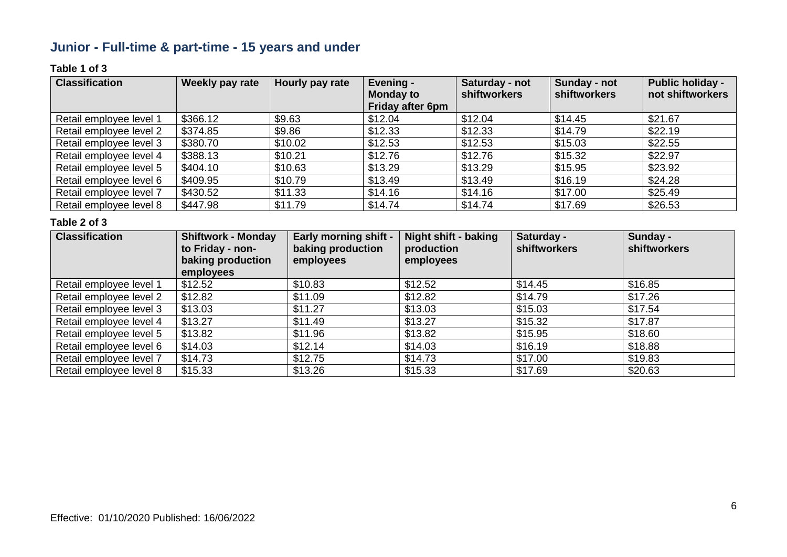### **Junior - Full-time & part-time - 15 years and under**

### **Table 1 of 3**

| <b>Classification</b>   | Weekly pay rate | Hourly pay rate | Evening -<br><b>Monday to</b><br><b>Friday after 6pm</b> | Saturday - not<br>shiftworkers | Sunday - not<br>shiftworkers | <b>Public holiday -</b><br>not shiftworkers |
|-------------------------|-----------------|-----------------|----------------------------------------------------------|--------------------------------|------------------------------|---------------------------------------------|
| Retail employee level 1 | \$366.12        | \$9.63          | \$12.04                                                  | \$12.04                        | \$14.45                      | \$21.67                                     |
| Retail employee level 2 | \$374.85        | \$9.86          | \$12.33                                                  | \$12.33                        | \$14.79                      | \$22.19                                     |
| Retail employee level 3 | \$380.70        | \$10.02         | \$12.53                                                  | \$12.53                        | \$15.03                      | \$22.55                                     |
| Retail employee level 4 | \$388.13        | \$10.21         | \$12.76                                                  | \$12.76                        | \$15.32                      | \$22.97                                     |
| Retail employee level 5 | \$404.10        | \$10.63         | \$13.29                                                  | \$13.29                        | \$15.95                      | \$23.92                                     |
| Retail employee level 6 | \$409.95        | \$10.79         | \$13.49                                                  | \$13.49                        | \$16.19                      | \$24.28                                     |
| Retail employee level 7 | \$430.52        | \$11.33         | \$14.16                                                  | \$14.16                        | \$17.00                      | \$25.49                                     |
| Retail employee level 8 | \$447.98        | \$11.79         | \$14.74                                                  | \$14.74                        | \$17.69                      | \$26.53                                     |

| <b>Classification</b>   | <b>Shiftwork - Monday</b><br>to Friday - non-<br>baking production | <b>Early morning shift -</b><br>baking production<br>employees | <b>Night shift - baking</b><br>production<br>employees | Saturday -<br><b>shiftworkers</b> | Sunday -<br><b>shiftworkers</b> |
|-------------------------|--------------------------------------------------------------------|----------------------------------------------------------------|--------------------------------------------------------|-----------------------------------|---------------------------------|
|                         | employees                                                          |                                                                |                                                        |                                   |                                 |
| Retail employee level 1 | \$12.52                                                            | \$10.83                                                        | \$12.52                                                | \$14.45                           | \$16.85                         |
| Retail employee level 2 | \$12.82                                                            | \$11.09                                                        | \$12.82                                                | \$14.79                           | \$17.26                         |
| Retail employee level 3 | \$13.03                                                            | \$11.27                                                        | \$13.03                                                | \$15.03                           | \$17.54                         |
| Retail employee level 4 | \$13.27                                                            | \$11.49                                                        | \$13.27                                                | \$15.32                           | \$17.87                         |
| Retail employee level 5 | \$13.82                                                            | \$11.96                                                        | \$13.82                                                | \$15.95                           | \$18.60                         |
| Retail employee level 6 | \$14.03                                                            | \$12.14                                                        | \$14.03                                                | \$16.19                           | \$18.88                         |
| Retail employee level 7 | \$14.73                                                            | \$12.75                                                        | \$14.73                                                | \$17.00                           | \$19.83                         |
| Retail employee level 8 | \$15.33                                                            | \$13.26                                                        | \$15.33                                                | \$17.69                           | \$20.63                         |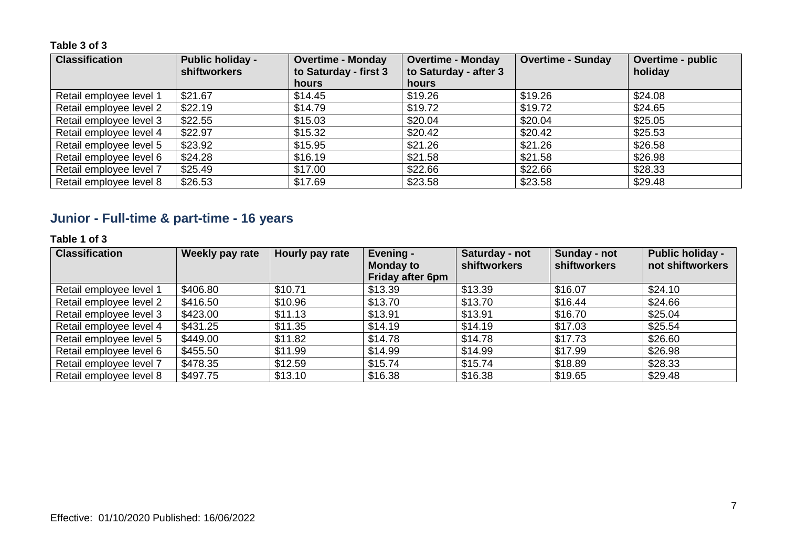| <b>Classification</b>   | <b>Public holiday -</b><br><b>shiftworkers</b> | <b>Overtime - Monday</b><br>to Saturday - first 3 | <b>Overtime - Monday</b><br>to Saturday - after 3 | <b>Overtime - Sunday</b> | <b>Overtime - public</b><br>holiday |
|-------------------------|------------------------------------------------|---------------------------------------------------|---------------------------------------------------|--------------------------|-------------------------------------|
|                         |                                                | <b>hours</b>                                      | hours                                             |                          |                                     |
| Retail employee level 1 | \$21.67                                        | \$14.45                                           | \$19.26                                           | \$19.26                  | \$24.08                             |
| Retail employee level 2 | \$22.19                                        | \$14.79                                           | \$19.72                                           | \$19.72                  | \$24.65                             |
| Retail employee level 3 | \$22.55                                        | \$15.03                                           | \$20.04                                           | \$20.04                  | \$25.05                             |
| Retail employee level 4 | \$22.97                                        | \$15.32                                           | \$20.42                                           | \$20.42                  | \$25.53                             |
| Retail employee level 5 | \$23.92                                        | \$15.95                                           | \$21.26                                           | \$21.26                  | \$26.58                             |
| Retail employee level 6 | \$24.28                                        | \$16.19                                           | \$21.58                                           | \$21.58                  | \$26.98                             |
| Retail employee level 7 | \$25.49                                        | \$17.00                                           | \$22.66                                           | \$22.66                  | \$28.33                             |
| Retail employee level 8 | \$26.53                                        | \$17.69                                           | \$23.58                                           | \$23.58                  | \$29.48                             |

### **Junior - Full-time & part-time - 16 years**

### **Table 1 of 3**

| <b>Classification</b>   | Weekly pay rate | Hourly pay rate | Evening -<br><b>Monday to</b><br>Friday after 6pm | Saturday - not<br><b>shiftworkers</b> | Sunday - not<br>shiftworkers | <b>Public holiday -</b><br>not shiftworkers |
|-------------------------|-----------------|-----------------|---------------------------------------------------|---------------------------------------|------------------------------|---------------------------------------------|
| Retail employee level 1 | \$406.80        | \$10.71         | \$13.39                                           | \$13.39                               | \$16.07                      | \$24.10                                     |
| Retail employee level 2 | \$416.50        | \$10.96         | \$13.70                                           | \$13.70                               | \$16.44                      | \$24.66                                     |
| Retail employee level 3 | \$423.00        | \$11.13         | \$13.91                                           | \$13.91                               | \$16.70                      | \$25.04                                     |
| Retail employee level 4 | \$431.25        | \$11.35         | \$14.19                                           | \$14.19                               | \$17.03                      | \$25.54                                     |
| Retail employee level 5 | \$449.00        | \$11.82         | \$14.78                                           | \$14.78                               | \$17.73                      | \$26.60                                     |
| Retail employee level 6 | \$455.50        | \$11.99         | \$14.99                                           | \$14.99                               | \$17.99                      | \$26.98                                     |
| Retail employee level 7 | \$478.35        | \$12.59         | \$15.74                                           | \$15.74                               | \$18.89                      | \$28.33                                     |
| Retail employee level 8 | \$497.75        | \$13.10         | \$16.38                                           | \$16.38                               | \$19.65                      | \$29.48                                     |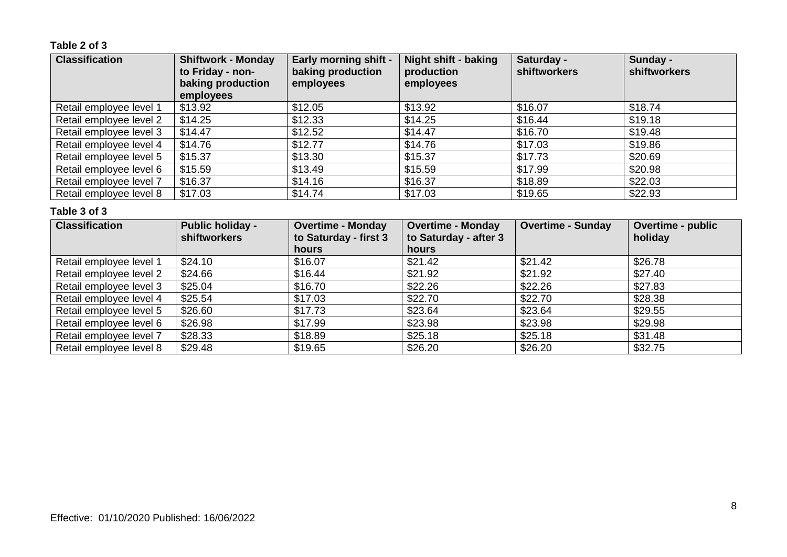### **Table 2 of 3**

| <b>Classification</b>   | <b>Shiftwork - Monday</b><br>to Friday - non-<br>baking production<br>employees | <b>Early morning shift -</b><br>baking production<br>employees | <b>Night shift - baking</b><br>production<br>employees | Saturday -<br>shiftworkers | Sunday -<br>shiftworkers |
|-------------------------|---------------------------------------------------------------------------------|----------------------------------------------------------------|--------------------------------------------------------|----------------------------|--------------------------|
| Retail employee level 1 | \$13.92                                                                         | \$12.05                                                        | \$13.92                                                | \$16.07                    | \$18.74                  |
| Retail employee level 2 | \$14.25                                                                         | \$12.33                                                        | \$14.25                                                | \$16.44                    | \$19.18                  |
| Retail employee level 3 | \$14.47                                                                         | \$12.52                                                        | \$14.47                                                | \$16.70                    | \$19.48                  |
| Retail employee level 4 | \$14.76                                                                         | \$12.77                                                        | \$14.76                                                | \$17.03                    | \$19.86                  |
| Retail employee level 5 | \$15.37                                                                         | \$13.30                                                        | \$15.37                                                | \$17.73                    | \$20.69                  |
| Retail employee level 6 | \$15.59                                                                         | \$13.49                                                        | \$15.59                                                | \$17.99                    | \$20.98                  |
| Retail employee level 7 | \$16.37                                                                         | \$14.16                                                        | \$16.37                                                | \$18.89                    | \$22.03                  |
| Retail employee level 8 | \$17.03                                                                         | \$14.74                                                        | \$17.03                                                | \$19.65                    | \$22.93                  |

| <b>Classification</b>   | <b>Public holiday -</b><br><b>shiftworkers</b> | <b>Overtime - Monday</b><br>to Saturday - first 3<br>hours | <b>Overtime - Monday</b><br>to Saturday - after 3<br>hours | <b>Overtime - Sunday</b> | Overtime - public<br>holiday |
|-------------------------|------------------------------------------------|------------------------------------------------------------|------------------------------------------------------------|--------------------------|------------------------------|
| Retail employee level 1 | \$24.10                                        | \$16.07                                                    | \$21.42                                                    | \$21.42                  | \$26.78                      |
| Retail employee level 2 | \$24.66                                        | \$16.44                                                    | \$21.92                                                    | \$21.92                  | \$27.40                      |
| Retail employee level 3 | \$25.04                                        | \$16.70                                                    | \$22.26                                                    | \$22.26                  | \$27.83                      |
| Retail employee level 4 | \$25.54                                        | \$17.03                                                    | \$22.70                                                    | \$22.70                  | \$28.38                      |
| Retail employee level 5 | \$26.60                                        | \$17.73                                                    | \$23.64                                                    | \$23.64                  | \$29.55                      |
| Retail employee level 6 | \$26.98                                        | \$17.99                                                    | \$23.98                                                    | \$23.98                  | \$29.98                      |
| Retail employee level 7 | \$28.33                                        | \$18.89                                                    | \$25.18                                                    | \$25.18                  | \$31.48                      |
| Retail employee level 8 | \$29.48                                        | \$19.65                                                    | \$26.20                                                    | \$26.20                  | \$32.75                      |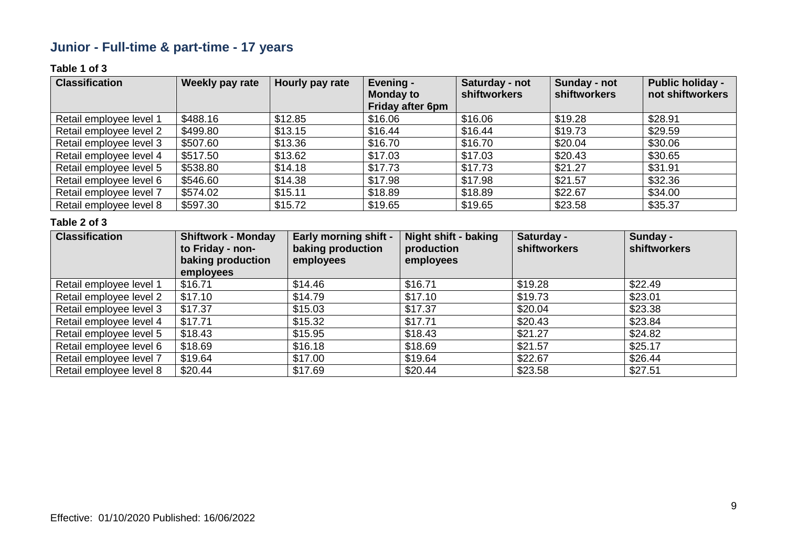### **Junior - Full-time & part-time - 17 years**

### **Table 1 of 3**

| <b>Classification</b>   | Weekly pay rate | Hourly pay rate | Evening -<br><b>Monday to</b><br><b>Friday after 6pm</b> | Saturday - not<br>shiftworkers | Sunday - not<br><b>shiftworkers</b> | <b>Public holiday -</b><br>not shiftworkers |
|-------------------------|-----------------|-----------------|----------------------------------------------------------|--------------------------------|-------------------------------------|---------------------------------------------|
| Retail employee level 1 | \$488.16        | \$12.85         | \$16.06                                                  | \$16.06                        | \$19.28                             | \$28.91                                     |
| Retail employee level 2 | \$499.80        | \$13.15         | \$16.44                                                  | \$16.44                        | \$19.73                             | \$29.59                                     |
| Retail employee level 3 | \$507.60        | \$13.36         | \$16.70                                                  | \$16.70                        | \$20.04                             | \$30.06                                     |
| Retail employee level 4 | \$517.50        | \$13.62         | \$17.03                                                  | \$17.03                        | \$20.43                             | \$30.65                                     |
| Retail employee level 5 | \$538.80        | \$14.18         | \$17.73                                                  | \$17.73                        | \$21.27                             | \$31.91                                     |
| Retail employee level 6 | \$546.60        | \$14.38         | \$17.98                                                  | \$17.98                        | \$21.57                             | \$32.36                                     |
| Retail employee level 7 | \$574.02        | \$15.11         | \$18.89                                                  | \$18.89                        | \$22.67                             | \$34.00                                     |
| Retail employee level 8 | \$597.30        | \$15.72         | \$19.65                                                  | \$19.65                        | \$23.58                             | \$35.37                                     |

| <b>Classification</b>   | <b>Shiftwork - Monday</b><br>to Friday - non-<br>baking production<br>employees | <b>Early morning shift -</b><br>baking production<br>employees | <b>Night shift - baking</b><br>production<br>employees | Saturday -<br>shiftworkers | Sunday -<br>shiftworkers |
|-------------------------|---------------------------------------------------------------------------------|----------------------------------------------------------------|--------------------------------------------------------|----------------------------|--------------------------|
| Retail employee level 1 | \$16.71                                                                         | \$14.46                                                        | \$16.71                                                | \$19.28                    | \$22.49                  |
| Retail employee level 2 | \$17.10                                                                         | \$14.79                                                        | \$17.10                                                | \$19.73                    | \$23.01                  |
| Retail employee level 3 | \$17.37                                                                         | \$15.03                                                        | \$17.37                                                | \$20.04                    | \$23.38                  |
| Retail employee level 4 | \$17.71                                                                         | \$15.32                                                        | \$17.71                                                | \$20.43                    | \$23.84                  |
| Retail employee level 5 | \$18.43                                                                         | \$15.95                                                        | \$18.43                                                | \$21.27                    | \$24.82                  |
| Retail employee level 6 | \$18.69                                                                         | \$16.18                                                        | \$18.69                                                | \$21.57                    | \$25.17                  |
| Retail employee level 7 | \$19.64                                                                         | \$17.00                                                        | \$19.64                                                | \$22.67                    | \$26.44                  |
| Retail employee level 8 | \$20.44                                                                         | \$17.69                                                        | \$20.44                                                | \$23.58                    | \$27.51                  |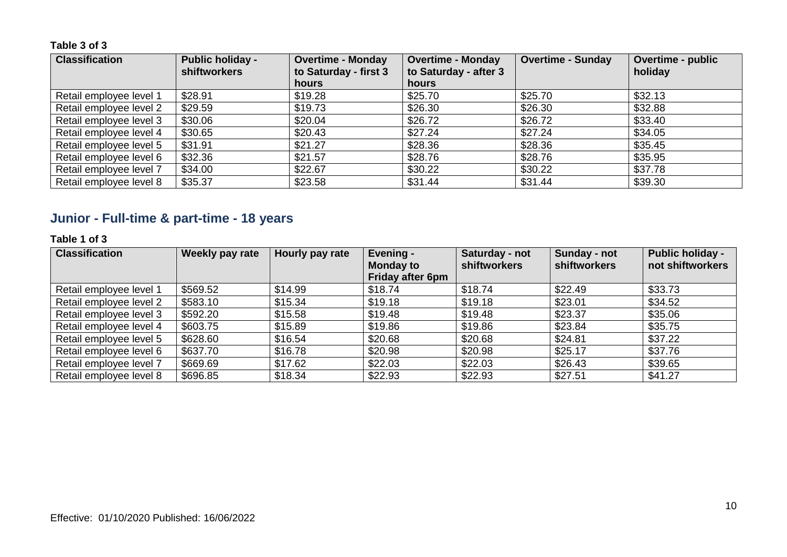| <b>Classification</b>   | <b>Public holiday -</b><br><b>shiftworkers</b> | <b>Overtime - Monday</b><br>to Saturday - first 3 | <b>Overtime - Monday</b><br>to Saturday - after 3 | <b>Overtime - Sunday</b> | <b>Overtime - public</b><br>holiday |
|-------------------------|------------------------------------------------|---------------------------------------------------|---------------------------------------------------|--------------------------|-------------------------------------|
|                         |                                                | hours                                             | <b>hours</b>                                      |                          |                                     |
| Retail employee level 1 | \$28.91                                        | \$19.28                                           | \$25.70                                           | \$25.70                  | \$32.13                             |
| Retail employee level 2 | \$29.59                                        | \$19.73                                           | \$26.30                                           | \$26.30                  | \$32.88                             |
| Retail employee level 3 | \$30.06                                        | \$20.04                                           | \$26.72                                           | \$26.72                  | \$33.40                             |
| Retail employee level 4 | \$30.65                                        | \$20.43                                           | \$27.24                                           | \$27.24                  | \$34.05                             |
| Retail employee level 5 | \$31.91                                        | \$21.27                                           | \$28.36                                           | \$28.36                  | \$35.45                             |
| Retail employee level 6 | \$32.36                                        | \$21.57                                           | \$28.76                                           | \$28.76                  | \$35.95                             |
| Retail employee level 7 | \$34.00                                        | \$22.67                                           | \$30.22                                           | \$30.22                  | \$37.78                             |
| Retail employee level 8 | \$35.37                                        | \$23.58                                           | \$31.44                                           | \$31.44                  | \$39.30                             |

## **Junior - Full-time & part-time - 18 years**

### **Table 1 of 3**

| <b>Classification</b>   | Weekly pay rate | Hourly pay rate | Evening -<br><b>Monday to</b><br><b>Friday after 6pm</b> | Saturday - not<br><b>shiftworkers</b> | Sunday - not<br>shiftworkers | <b>Public holiday -</b><br>not shiftworkers |
|-------------------------|-----------------|-----------------|----------------------------------------------------------|---------------------------------------|------------------------------|---------------------------------------------|
| Retail employee level 1 | \$569.52        | \$14.99         | \$18.74                                                  | \$18.74                               | \$22.49                      | \$33.73                                     |
| Retail employee level 2 | \$583.10        | \$15.34         | \$19.18                                                  | \$19.18                               | \$23.01                      | \$34.52                                     |
| Retail employee level 3 | \$592.20        | \$15.58         | \$19.48                                                  | \$19.48                               | \$23.37                      | \$35.06                                     |
| Retail employee level 4 | \$603.75        | \$15.89         | \$19.86                                                  | \$19.86                               | \$23.84                      | \$35.75                                     |
| Retail employee level 5 | \$628.60        | \$16.54         | \$20.68                                                  | \$20.68                               | \$24.81                      | \$37.22                                     |
| Retail employee level 6 | \$637.70        | \$16.78         | \$20.98                                                  | \$20.98                               | \$25.17                      | \$37.76                                     |
| Retail employee level 7 | \$669.69        | \$17.62         | \$22.03                                                  | \$22.03                               | \$26.43                      | \$39.65                                     |
| Retail employee level 8 | \$696.85        | \$18.34         | \$22.93                                                  | \$22.93                               | \$27.51                      | \$41.27                                     |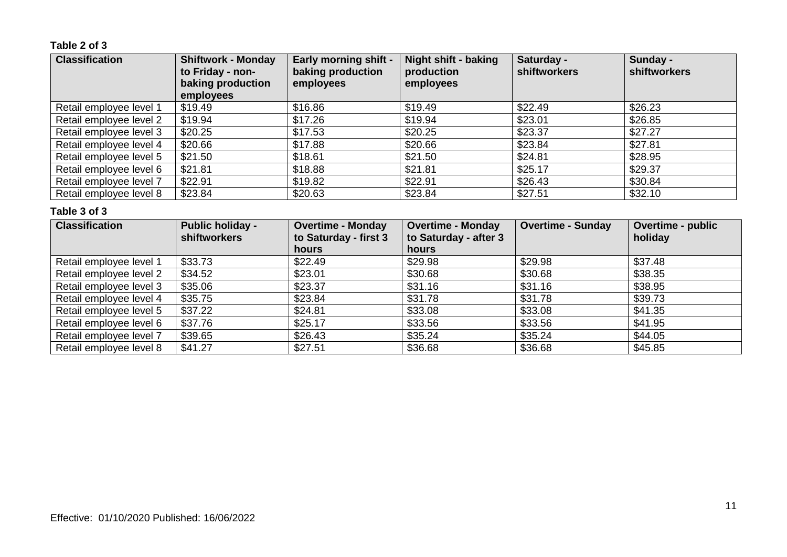### **Table 2 of 3**

| <b>Classification</b>   | <b>Shiftwork - Monday</b><br>to Friday - non-<br>baking production<br>employees | <b>Early morning shift -</b><br>baking production<br>employees | <b>Night shift - baking</b><br>production<br>employees | Saturday -<br><b>shiftworkers</b> | Sunday -<br>shiftworkers |
|-------------------------|---------------------------------------------------------------------------------|----------------------------------------------------------------|--------------------------------------------------------|-----------------------------------|--------------------------|
| Retail employee level 1 | \$19.49                                                                         | \$16.86                                                        | \$19.49                                                | \$22.49                           | \$26.23                  |
| Retail employee level 2 | \$19.94                                                                         | \$17.26                                                        | \$19.94                                                | \$23.01                           | \$26.85                  |
| Retail employee level 3 | \$20.25                                                                         | \$17.53                                                        | \$20.25                                                | \$23.37                           | \$27.27                  |
| Retail employee level 4 | \$20.66                                                                         | \$17.88                                                        | \$20.66                                                | \$23.84                           | \$27.81                  |
| Retail employee level 5 | \$21.50                                                                         | \$18.61                                                        | \$21.50                                                | \$24.81                           | \$28.95                  |
| Retail employee level 6 | \$21.81                                                                         | \$18.88                                                        | \$21.81                                                | \$25.17                           | \$29.37                  |
| Retail employee level 7 | \$22.91                                                                         | \$19.82                                                        | \$22.91                                                | \$26.43                           | \$30.84                  |
| Retail employee level 8 | \$23.84                                                                         | \$20.63                                                        | \$23.84                                                | \$27.51                           | \$32.10                  |

| <b>Classification</b>   | <b>Public holiday -</b><br><b>shiftworkers</b> | <b>Overtime - Monday</b><br>to Saturday - first 3 | <b>Overtime - Monday</b><br>to Saturday - after 3 | <b>Overtime - Sunday</b> | Overtime - public<br>holiday |
|-------------------------|------------------------------------------------|---------------------------------------------------|---------------------------------------------------|--------------------------|------------------------------|
|                         |                                                | hours                                             | hours                                             |                          |                              |
| Retail employee level 1 | \$33.73                                        | \$22.49                                           | \$29.98                                           | \$29.98                  | \$37.48                      |
| Retail employee level 2 | \$34.52                                        | \$23.01                                           | \$30.68                                           | \$30.68                  | \$38.35                      |
| Retail employee level 3 | \$35.06                                        | \$23.37                                           | \$31.16                                           | \$31.16                  | \$38.95                      |
| Retail employee level 4 | \$35.75                                        | \$23.84                                           | \$31.78                                           | \$31.78                  | \$39.73                      |
| Retail employee level 5 | \$37.22                                        | \$24.81                                           | \$33.08                                           | \$33.08                  | \$41.35                      |
| Retail employee level 6 | \$37.76                                        | \$25.17                                           | \$33.56                                           | \$33.56                  | \$41.95                      |
| Retail employee level 7 | \$39.65                                        | \$26.43                                           | \$35.24                                           | \$35.24                  | \$44.05                      |
| Retail employee level 8 | \$41.27                                        | \$27.51                                           | \$36.68                                           | \$36.68                  | \$45.85                      |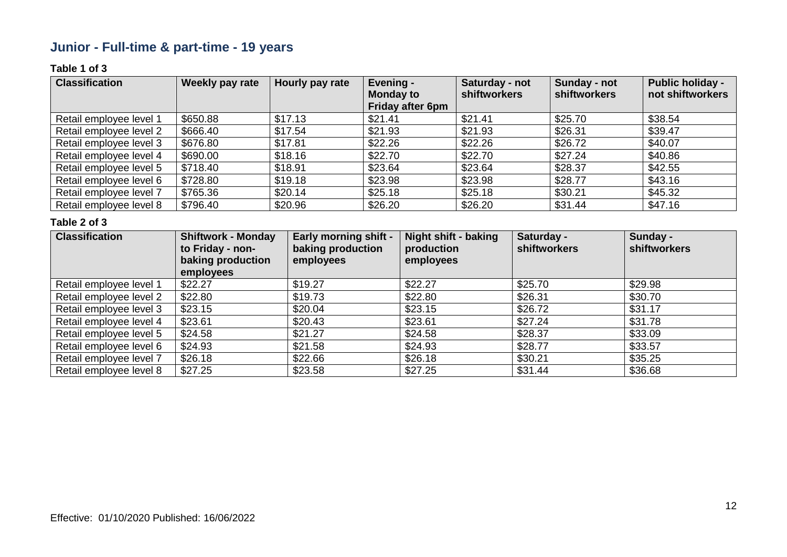### **Junior - Full-time & part-time - 19 years**

### **Table 1 of 3**

| <b>Classification</b>   | Weekly pay rate | Hourly pay rate | Evening -<br><b>Monday to</b><br><b>Friday after 6pm</b> | Saturday - not<br>shiftworkers | Sunday - not<br><b>shiftworkers</b> | <b>Public holiday -</b><br>not shiftworkers |
|-------------------------|-----------------|-----------------|----------------------------------------------------------|--------------------------------|-------------------------------------|---------------------------------------------|
| Retail employee level 1 | \$650.88        | \$17.13         | \$21.41                                                  | \$21.41                        | \$25.70                             | \$38.54                                     |
| Retail employee level 2 | \$666.40        | \$17.54         | \$21.93                                                  | \$21.93                        | \$26.31                             | \$39.47                                     |
| Retail employee level 3 | \$676.80        | \$17.81         | \$22.26                                                  | \$22.26                        | \$26.72                             | \$40.07                                     |
| Retail employee level 4 | \$690.00        | \$18.16         | \$22.70                                                  | \$22.70                        | \$27.24                             | \$40.86                                     |
| Retail employee level 5 | \$718.40        | \$18.91         | \$23.64                                                  | \$23.64                        | \$28.37                             | \$42.55                                     |
| Retail employee level 6 | \$728.80        | \$19.18         | \$23.98                                                  | \$23.98                        | \$28.77                             | \$43.16                                     |
| Retail employee level 7 | \$765.36        | \$20.14         | \$25.18                                                  | \$25.18                        | \$30.21                             | \$45.32                                     |
| Retail employee level 8 | \$796.40        | \$20.96         | \$26.20                                                  | \$26.20                        | \$31.44                             | \$47.16                                     |

| <b>Classification</b>   | <b>Shiftwork - Monday</b><br>to Friday - non-<br>baking production<br>employees | <b>Early morning shift -</b><br>baking production<br>employees | <b>Night shift - baking</b><br>production<br>employees | Saturday -<br><b>shiftworkers</b> | Sunday -<br><b>shiftworkers</b> |
|-------------------------|---------------------------------------------------------------------------------|----------------------------------------------------------------|--------------------------------------------------------|-----------------------------------|---------------------------------|
| Retail employee level 1 | \$22.27                                                                         | \$19.27                                                        | \$22.27                                                | \$25.70                           | \$29.98                         |
| Retail employee level 2 | \$22.80                                                                         | \$19.73                                                        | \$22.80                                                | \$26.31                           | \$30.70                         |
| Retail employee level 3 | \$23.15                                                                         | \$20.04                                                        | \$23.15                                                | \$26.72                           | \$31.17                         |
| Retail employee level 4 | \$23.61                                                                         | \$20.43                                                        | \$23.61                                                | \$27.24                           | \$31.78                         |
| Retail employee level 5 | \$24.58                                                                         | \$21.27                                                        | \$24.58                                                | \$28.37                           | \$33.09                         |
| Retail employee level 6 | \$24.93                                                                         | \$21.58                                                        | \$24.93                                                | \$28.77                           | \$33.57                         |
| Retail employee level 7 | \$26.18                                                                         | \$22.66                                                        | \$26.18                                                | \$30.21                           | \$35.25                         |
| Retail employee level 8 | \$27.25                                                                         | \$23.58                                                        | \$27.25                                                | \$31.44                           | \$36.68                         |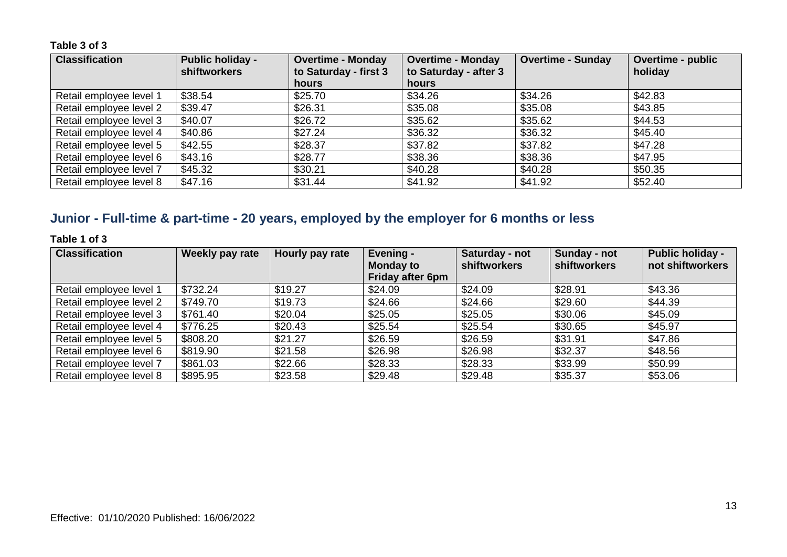| <b>Classification</b>   | <b>Public holiday -</b><br><b>shiftworkers</b> | <b>Overtime - Monday</b><br>to Saturday - first 3 | <b>Overtime - Monday</b><br>to Saturday - after 3 | <b>Overtime - Sunday</b> | Overtime - public<br>holiday |
|-------------------------|------------------------------------------------|---------------------------------------------------|---------------------------------------------------|--------------------------|------------------------------|
|                         |                                                | <b>hours</b>                                      | hours                                             |                          |                              |
| Retail employee level 1 | \$38.54                                        | \$25.70                                           | \$34.26                                           | \$34.26                  | \$42.83                      |
| Retail employee level 2 | \$39.47                                        | \$26.31                                           | \$35.08                                           | \$35.08                  | \$43.85                      |
| Retail employee level 3 | \$40.07                                        | \$26.72                                           | \$35.62                                           | \$35.62                  | \$44.53                      |
| Retail employee level 4 | \$40.86                                        | \$27.24                                           | \$36.32                                           | \$36.32                  | \$45.40                      |
| Retail employee level 5 | \$42.55                                        | \$28.37                                           | \$37.82                                           | \$37.82                  | \$47.28                      |
| Retail employee level 6 | \$43.16                                        | \$28.77                                           | \$38.36                                           | \$38.36                  | \$47.95                      |
| Retail employee level 7 | \$45.32                                        | \$30.21                                           | \$40.28                                           | \$40.28                  | \$50.35                      |
| Retail employee level 8 | \$47.16                                        | \$31.44                                           | \$41.92                                           | \$41.92                  | \$52.40                      |

### **Junior - Full-time & part-time - 20 years, employed by the employer for 6 months or less**

**Table 1 of 3**

| <b>Classification</b>   | <b>Weekly pay rate</b> | Hourly pay rate | Evening -<br><b>Monday to</b><br>Friday after 6pm | Saturday - not<br><b>shiftworkers</b> | Sunday - not<br><b>shiftworkers</b> | <b>Public holiday -</b><br>not shiftworkers |
|-------------------------|------------------------|-----------------|---------------------------------------------------|---------------------------------------|-------------------------------------|---------------------------------------------|
| Retail employee level 1 | \$732.24               | \$19.27         | \$24.09                                           | \$24.09                               | \$28.91                             | \$43.36                                     |
| Retail employee level 2 | \$749.70               | \$19.73         | \$24.66                                           | \$24.66                               | \$29.60                             | \$44.39                                     |
| Retail employee level 3 | \$761.40               | \$20.04         | \$25.05                                           | \$25.05                               | \$30.06                             | \$45.09                                     |
| Retail employee level 4 | \$776.25               | \$20.43         | \$25.54                                           | \$25.54                               | \$30.65                             | \$45.97                                     |
| Retail employee level 5 | \$808.20               | \$21.27         | \$26.59                                           | \$26.59                               | \$31.91                             | \$47.86                                     |
| Retail employee level 6 | \$819.90               | \$21.58         | \$26.98                                           | \$26.98                               | \$32.37                             | \$48.56                                     |
| Retail employee level 7 | \$861.03               | \$22.66         | \$28.33                                           | \$28.33                               | \$33.99                             | \$50.99                                     |
| Retail employee level 8 | \$895.95               | \$23.58         | \$29.48                                           | \$29.48                               | \$35.37                             | \$53.06                                     |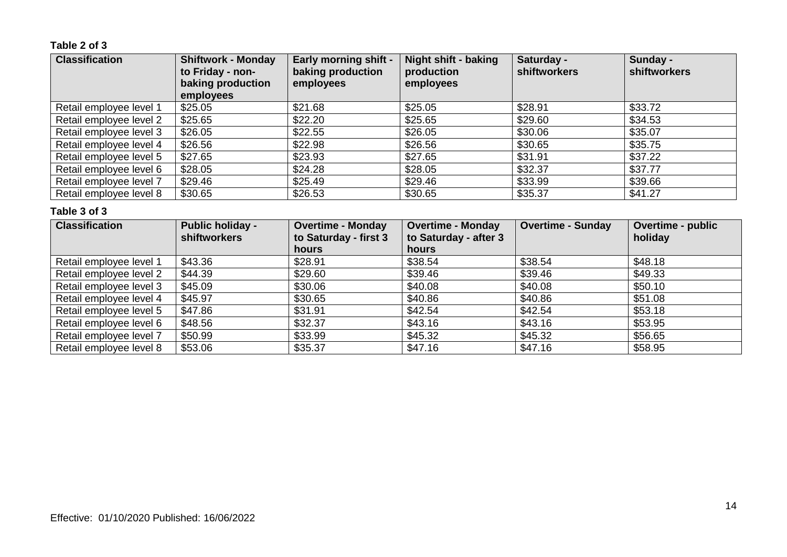### **Table 2 of 3**

| <b>Classification</b>   | <b>Shiftwork - Monday</b><br>to Friday - non-<br>baking production<br>employees | <b>Early morning shift -</b><br>baking production<br>employees | <b>Night shift - baking</b><br>production<br>employees | Saturday -<br><b>shiftworkers</b> | Sunday -<br>shiftworkers |
|-------------------------|---------------------------------------------------------------------------------|----------------------------------------------------------------|--------------------------------------------------------|-----------------------------------|--------------------------|
| Retail employee level 1 | \$25.05                                                                         | \$21.68                                                        | \$25.05                                                | \$28.91                           | \$33.72                  |
| Retail employee level 2 | \$25.65                                                                         | \$22.20                                                        | \$25.65                                                | \$29.60                           | \$34.53                  |
| Retail employee level 3 | \$26.05                                                                         | \$22.55                                                        | \$26.05                                                | \$30.06                           | \$35.07                  |
| Retail employee level 4 | \$26.56                                                                         | \$22.98                                                        | \$26.56                                                | \$30.65                           | \$35.75                  |
| Retail employee level 5 | \$27.65                                                                         | \$23.93                                                        | \$27.65                                                | \$31.91                           | \$37.22                  |
| Retail employee level 6 | \$28.05                                                                         | \$24.28                                                        | \$28.05                                                | \$32.37                           | \$37.77                  |
| Retail employee level 7 | \$29.46                                                                         | \$25.49                                                        | \$29.46                                                | \$33.99                           | \$39.66                  |
| Retail employee level 8 | \$30.65                                                                         | \$26.53                                                        | \$30.65                                                | \$35.37                           | \$41.27                  |

| <b>Classification</b>   | <b>Public holiday -</b><br><b>shiftworkers</b> | <b>Overtime - Monday</b><br>to Saturday - first 3<br><b>hours</b> | <b>Overtime - Monday</b><br>to Saturday - after 3<br>hours | <b>Overtime - Sunday</b> | <b>Overtime - public</b><br>holiday |
|-------------------------|------------------------------------------------|-------------------------------------------------------------------|------------------------------------------------------------|--------------------------|-------------------------------------|
| Retail employee level 1 | \$43.36                                        | \$28.91                                                           | \$38.54                                                    | \$38.54                  | \$48.18                             |
| Retail employee level 2 | \$44.39                                        | \$29.60                                                           | \$39.46                                                    | \$39.46                  | \$49.33                             |
| Retail employee level 3 | \$45.09                                        | \$30.06                                                           | \$40.08                                                    | \$40.08                  | \$50.10                             |
| Retail employee level 4 | \$45.97                                        | \$30.65                                                           | \$40.86                                                    | \$40.86                  | \$51.08                             |
| Retail employee level 5 | \$47.86                                        | \$31.91                                                           | \$42.54                                                    | \$42.54                  | \$53.18                             |
| Retail employee level 6 | \$48.56                                        | \$32.37                                                           | \$43.16                                                    | \$43.16                  | \$53.95                             |
| Retail employee level 7 | \$50.99                                        | \$33.99                                                           | \$45.32                                                    | \$45.32                  | \$56.65                             |
| Retail employee level 8 | \$53.06                                        | \$35.37                                                           | \$47.16                                                    | \$47.16                  | \$58.95                             |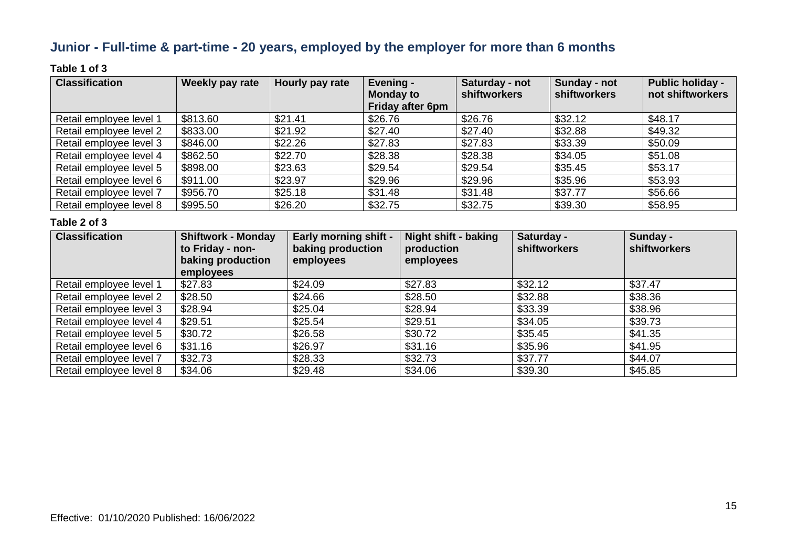### **Junior - Full-time & part-time - 20 years, employed by the employer for more than 6 months**

### **Table 1 of 3**

| <b>Classification</b>   | Weekly pay rate | Hourly pay rate | Evening -<br><b>Monday to</b><br><b>Friday after 6pm</b> | Saturday - not<br>shiftworkers | Sunday - not<br><b>shiftworkers</b> | <b>Public holiday -</b><br>not shiftworkers |
|-------------------------|-----------------|-----------------|----------------------------------------------------------|--------------------------------|-------------------------------------|---------------------------------------------|
| Retail employee level 1 | \$813.60        | \$21.41         | \$26.76                                                  | \$26.76                        | \$32.12                             | \$48.17                                     |
| Retail employee level 2 | \$833.00        | \$21.92         | \$27.40                                                  | \$27.40                        | \$32.88                             | \$49.32                                     |
| Retail employee level 3 | \$846.00        | \$22.26         | \$27.83                                                  | \$27.83                        | \$33.39                             | \$50.09                                     |
| Retail employee level 4 | \$862.50        | \$22.70         | \$28.38                                                  | \$28.38                        | \$34.05                             | \$51.08                                     |
| Retail employee level 5 | \$898.00        | \$23.63         | \$29.54                                                  | \$29.54                        | \$35.45                             | \$53.17                                     |
| Retail employee level 6 | \$911.00        | \$23.97         | \$29.96                                                  | \$29.96                        | \$35.96                             | \$53.93                                     |
| Retail employee level 7 | \$956.70        | \$25.18         | \$31.48                                                  | \$31.48                        | \$37.77                             | \$56.66                                     |
| Retail employee level 8 | \$995.50        | \$26.20         | \$32.75                                                  | \$32.75                        | \$39.30                             | \$58.95                                     |

| <b>Classification</b>   | <b>Shiftwork - Monday</b><br>to Friday - non-<br>baking production<br>employees | <b>Early morning shift -</b><br>baking production<br>employees | Night shift - baking<br>production<br>employees | Saturday -<br>shiftworkers | Sunday -<br><b>shiftworkers</b> |
|-------------------------|---------------------------------------------------------------------------------|----------------------------------------------------------------|-------------------------------------------------|----------------------------|---------------------------------|
| Retail employee level 1 | \$27.83                                                                         | \$24.09                                                        | \$27.83                                         | \$32.12                    | \$37.47                         |
| Retail employee level 2 | \$28.50                                                                         | \$24.66                                                        | \$28.50                                         | \$32.88                    | \$38.36                         |
| Retail employee level 3 | \$28.94                                                                         | \$25.04                                                        | \$28.94                                         | \$33.39                    | \$38.96                         |
| Retail employee level 4 | \$29.51                                                                         | \$25.54                                                        | \$29.51                                         | \$34.05                    | \$39.73                         |
| Retail employee level 5 | \$30.72                                                                         | \$26.58                                                        | \$30.72                                         | \$35.45                    | \$41.35                         |
| Retail employee level 6 | \$31.16                                                                         | \$26.97                                                        | \$31.16                                         | \$35.96                    | \$41.95                         |
| Retail employee level 7 | \$32.73                                                                         | \$28.33                                                        | \$32.73                                         | \$37.77                    | \$44.07                         |
| Retail employee level 8 | \$34.06                                                                         | \$29.48                                                        | \$34.06                                         | \$39.30                    | \$45.85                         |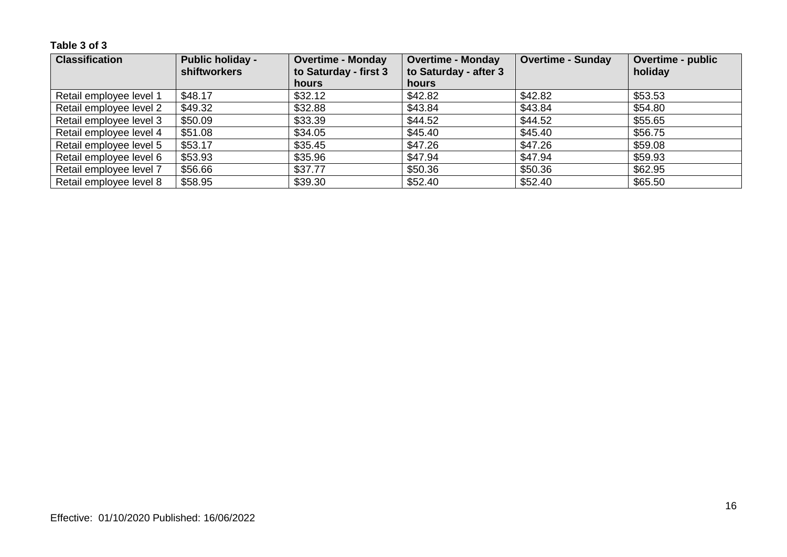| <b>Classification</b>   | <b>Public holiday -</b><br><b>shiftworkers</b> | <b>Overtime - Monday</b><br>to Saturday - first 3 | <b>Overtime - Monday</b><br>to Saturday - after 3 | <b>Overtime - Sunday</b> | Overtime - public<br>holiday |
|-------------------------|------------------------------------------------|---------------------------------------------------|---------------------------------------------------|--------------------------|------------------------------|
|                         |                                                | <b>hours</b>                                      | hours                                             |                          |                              |
| Retail employee level 1 | \$48.17                                        | \$32.12                                           | \$42.82                                           | \$42.82                  | \$53.53                      |
| Retail employee level 2 | \$49.32                                        | \$32.88                                           | \$43.84                                           | \$43.84                  | \$54.80                      |
| Retail employee level 3 | \$50.09                                        | \$33.39                                           | \$44.52                                           | \$44.52                  | \$55.65                      |
| Retail employee level 4 | \$51.08                                        | \$34.05                                           | \$45.40                                           | \$45.40                  | \$56.75                      |
| Retail employee level 5 | \$53.17                                        | \$35.45                                           | \$47.26                                           | \$47.26                  | \$59.08                      |
| Retail employee level 6 | \$53.93                                        | \$35.96                                           | \$47.94                                           | \$47.94                  | \$59.93                      |
| Retail employee level 7 | \$56.66                                        | \$37.77                                           | \$50.36                                           | \$50.36                  | \$62.95                      |
| Retail employee level 8 | \$58.95                                        | \$39.30                                           | \$52.40                                           | \$52.40                  | \$65.50                      |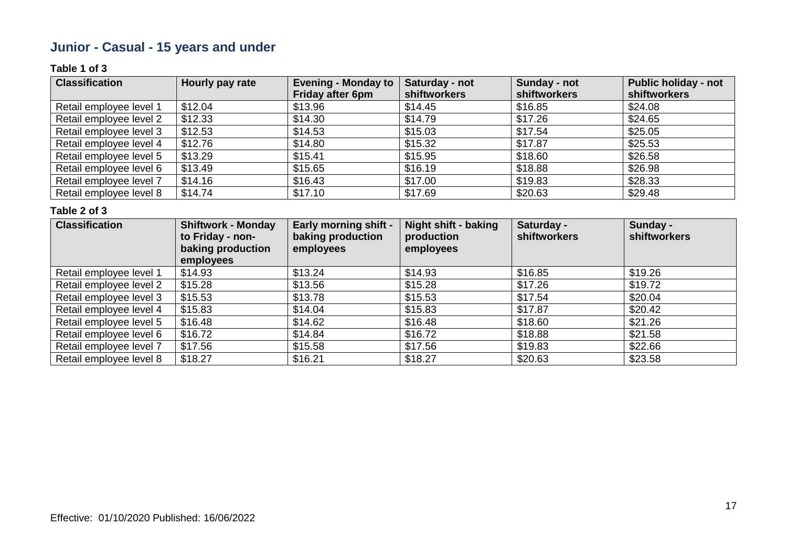### **Junior - Casual - 15 years and under**

### **Table 1 of 3**

| <b>Classification</b>   | Hourly pay rate | <b>Evening - Monday to</b> | Saturday - not | Sunday - not | <b>Public holiday - not</b> |
|-------------------------|-----------------|----------------------------|----------------|--------------|-----------------------------|
|                         |                 | <b>Friday after 6pm</b>    | shiftworkers   | shiftworkers | shiftworkers                |
| Retail employee level 1 | \$12.04         | \$13.96                    | \$14.45        | \$16.85      | \$24.08                     |
| Retail employee level 2 | \$12.33         | \$14.30                    | \$14.79        | \$17.26      | \$24.65                     |
| Retail employee level 3 | \$12.53         | \$14.53                    | \$15.03        | \$17.54      | \$25.05                     |
| Retail employee level 4 | \$12.76         | \$14.80                    | \$15.32        | \$17.87      | \$25.53                     |
| Retail employee level 5 | \$13.29         | \$15.41                    | \$15.95        | \$18.60      | \$26.58                     |
| Retail employee level 6 | \$13.49         | \$15.65                    | \$16.19        | \$18.88      | \$26.98                     |
| Retail employee level 7 | \$14.16         | \$16.43                    | \$17.00        | \$19.83      | \$28.33                     |
| Retail employee level 8 | \$14.74         | \$17.10                    | \$17.69        | \$20.63      | \$29.48                     |

| <b>Classification</b>   | <b>Shiftwork - Monday</b><br>to Friday - non-<br>baking production<br>employees | <b>Early morning shift -</b><br>baking production<br>employees | <b>Night shift - baking</b><br>production<br>employees | Saturday -<br>shiftworkers | Sunday -<br><b>shiftworkers</b> |
|-------------------------|---------------------------------------------------------------------------------|----------------------------------------------------------------|--------------------------------------------------------|----------------------------|---------------------------------|
| Retail employee level 1 | \$14.93                                                                         | \$13.24                                                        | \$14.93                                                | \$16.85                    | \$19.26                         |
| Retail employee level 2 | \$15.28                                                                         | \$13.56                                                        | \$15.28                                                | \$17.26                    | \$19.72                         |
| Retail employee level 3 | \$15.53                                                                         | \$13.78                                                        | \$15.53                                                | \$17.54                    | \$20.04                         |
| Retail employee level 4 | \$15.83                                                                         | \$14.04                                                        | \$15.83                                                | \$17.87                    | \$20.42                         |
| Retail employee level 5 | \$16.48                                                                         | \$14.62                                                        | \$16.48                                                | \$18.60                    | \$21.26                         |
| Retail employee level 6 | \$16.72                                                                         | \$14.84                                                        | \$16.72                                                | \$18.88                    | \$21.58                         |
| Retail employee level 7 | \$17.56                                                                         | \$15.58                                                        | \$17.56                                                | \$19.83                    | \$22.66                         |
| Retail employee level 8 | \$18.27                                                                         | \$16.21                                                        | \$18.27                                                | \$20.63                    | \$23.58                         |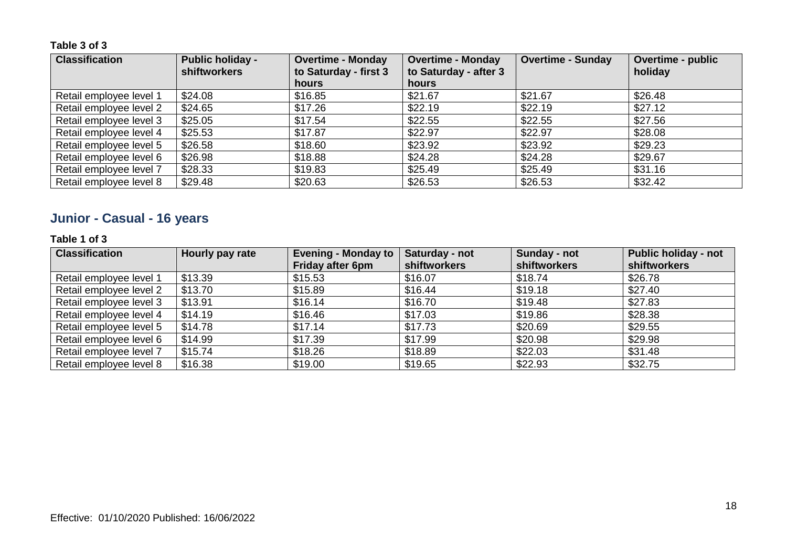| <b>Classification</b>   | <b>Public holiday -</b><br><b>shiftworkers</b> | <b>Overtime - Monday</b><br>to Saturday - first 3 | <b>Overtime - Monday</b><br>to Saturday - after 3 | <b>Overtime - Sunday</b> | <b>Overtime - public</b><br>holiday |
|-------------------------|------------------------------------------------|---------------------------------------------------|---------------------------------------------------|--------------------------|-------------------------------------|
|                         |                                                | <b>hours</b>                                      | <b>hours</b>                                      |                          |                                     |
| Retail employee level 1 | \$24.08                                        | \$16.85                                           | \$21.67                                           | \$21.67                  | \$26.48                             |
| Retail employee level 2 | \$24.65                                        | \$17.26                                           | \$22.19                                           | \$22.19                  | \$27.12                             |
| Retail employee level 3 | \$25.05                                        | \$17.54                                           | \$22.55                                           | \$22.55                  | \$27.56                             |
| Retail employee level 4 | \$25.53                                        | \$17.87                                           | \$22.97                                           | \$22.97                  | \$28.08                             |
| Retail employee level 5 | \$26.58                                        | \$18.60                                           | \$23.92                                           | \$23.92                  | \$29.23                             |
| Retail employee level 6 | \$26.98                                        | \$18.88                                           | \$24.28                                           | \$24.28                  | \$29.67                             |
| Retail employee level 7 | \$28.33                                        | \$19.83                                           | \$25.49                                           | \$25.49                  | \$31.16                             |
| Retail employee level 8 | \$29.48                                        | \$20.63                                           | \$26.53                                           | \$26.53                  | \$32.42                             |

### **Junior - Casual - 16 years**

### **Table 1 of 3**

| <b>Classification</b>   | Hourly pay rate | <b>Evening - Monday to</b> | Saturday - not | Sunday - not | <b>Public holiday - not</b> |
|-------------------------|-----------------|----------------------------|----------------|--------------|-----------------------------|
|                         |                 | <b>Friday after 6pm</b>    | shiftworkers   | shiftworkers | shiftworkers                |
| Retail employee level 1 | \$13.39         | \$15.53                    | \$16.07        | \$18.74      | \$26.78                     |
| Retail employee level 2 | \$13.70         | \$15.89                    | \$16.44        | \$19.18      | \$27.40                     |
| Retail employee level 3 | \$13.91         | \$16.14                    | \$16.70        | \$19.48      | \$27.83                     |
| Retail employee level 4 | \$14.19         | \$16.46                    | \$17.03        | \$19.86      | \$28.38                     |
| Retail employee level 5 | \$14.78         | \$17.14                    | \$17.73        | \$20.69      | \$29.55                     |
| Retail employee level 6 | \$14.99         | \$17.39                    | \$17.99        | \$20.98      | \$29.98                     |
| Retail employee level 7 | \$15.74         | \$18.26                    | \$18.89        | \$22.03      | \$31.48                     |
| Retail employee level 8 | \$16.38         | \$19.00                    | \$19.65        | \$22.93      | \$32.75                     |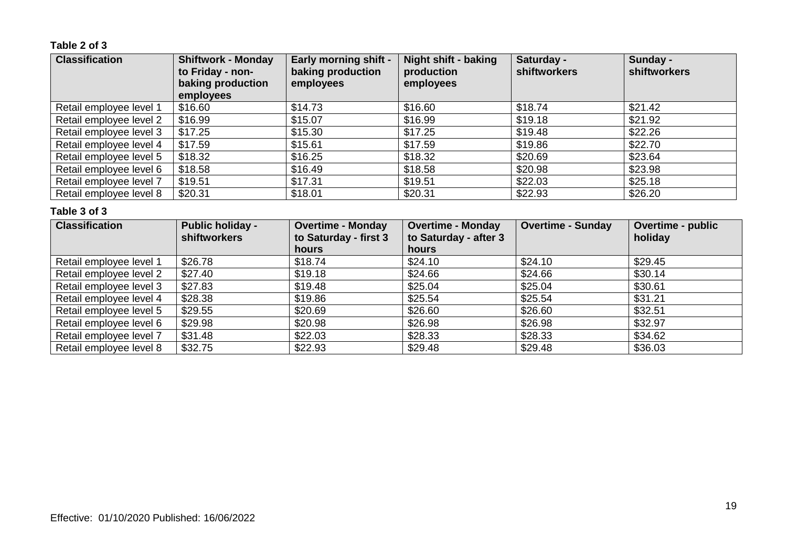### **Table 2 of 3**

| <b>Classification</b>   | <b>Shiftwork - Monday</b><br>to Friday - non-<br>baking production<br>employees | <b>Early morning shift -</b><br>baking production<br>employees | <b>Night shift - baking</b><br>production<br>employees | Saturday -<br>shiftworkers | Sunday -<br>shiftworkers |
|-------------------------|---------------------------------------------------------------------------------|----------------------------------------------------------------|--------------------------------------------------------|----------------------------|--------------------------|
| Retail employee level 1 | \$16.60                                                                         | \$14.73                                                        | \$16.60                                                | \$18.74                    | \$21.42                  |
| Retail employee level 2 | \$16.99                                                                         | \$15.07                                                        | \$16.99                                                | \$19.18                    | \$21.92                  |
| Retail employee level 3 | \$17.25                                                                         | \$15.30                                                        | \$17.25                                                | \$19.48                    | \$22.26                  |
| Retail employee level 4 | \$17.59                                                                         | \$15.61                                                        | \$17.59                                                | \$19.86                    | \$22.70                  |
| Retail employee level 5 | \$18.32                                                                         | \$16.25                                                        | \$18.32                                                | \$20.69                    | \$23.64                  |
| Retail employee level 6 | \$18.58                                                                         | \$16.49                                                        | \$18.58                                                | \$20.98                    | \$23.98                  |
| Retail employee level 7 | \$19.51                                                                         | \$17.31                                                        | \$19.51                                                | \$22.03                    | \$25.18                  |
| Retail employee level 8 | \$20.31                                                                         | \$18.01                                                        | \$20.31                                                | \$22.93                    | \$26.20                  |

| <b>Classification</b>   | <b>Public holiday -</b><br><b>shiftworkers</b> | <b>Overtime - Monday</b><br>to Saturday - first 3<br>hours | <b>Overtime - Monday</b><br>to Saturday - after 3<br>hours | <b>Overtime - Sunday</b> | <b>Overtime - public</b><br>holiday |
|-------------------------|------------------------------------------------|------------------------------------------------------------|------------------------------------------------------------|--------------------------|-------------------------------------|
| Retail employee level 1 | \$26.78                                        | \$18.74                                                    | \$24.10                                                    | \$24.10                  | \$29.45                             |
| Retail employee level 2 | \$27.40                                        | \$19.18                                                    | \$24.66                                                    | \$24.66                  | \$30.14                             |
| Retail employee level 3 | \$27.83                                        | \$19.48                                                    | \$25.04                                                    | \$25.04                  | \$30.61                             |
| Retail employee level 4 | \$28.38                                        | \$19.86                                                    | \$25.54                                                    | \$25.54                  | \$31.21                             |
| Retail employee level 5 | \$29.55                                        | \$20.69                                                    | \$26.60                                                    | \$26.60                  | \$32.51                             |
| Retail employee level 6 | \$29.98                                        | \$20.98                                                    | \$26.98                                                    | \$26.98                  | \$32.97                             |
| Retail employee level 7 | \$31.48                                        | \$22.03                                                    | \$28.33                                                    | \$28.33                  | \$34.62                             |
| Retail employee level 8 | \$32.75                                        | \$22.93                                                    | \$29.48                                                    | \$29.48                  | \$36.03                             |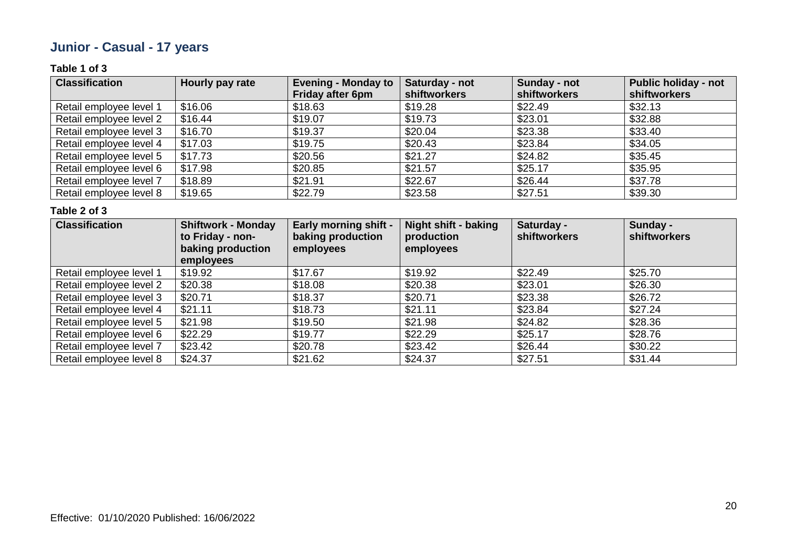### **Junior - Casual - 17 years**

### **Table 1 of 3**

| <b>Classification</b>   | Hourly pay rate | <b>Evening - Monday to</b> | Saturday - not      | Sunday - not | <b>Public holiday - not</b> |
|-------------------------|-----------------|----------------------------|---------------------|--------------|-----------------------------|
|                         |                 | <b>Friday after 6pm</b>    | <b>shiftworkers</b> | shiftworkers | shiftworkers                |
| Retail employee level 1 | \$16.06         | \$18.63                    | \$19.28             | \$22.49      | \$32.13                     |
| Retail employee level 2 | \$16.44         | \$19.07                    | \$19.73             | \$23.01      | \$32.88                     |
| Retail employee level 3 | \$16.70         | \$19.37                    | \$20.04             | \$23.38      | \$33.40                     |
| Retail employee level 4 | \$17.03         | \$19.75                    | \$20.43             | \$23.84      | \$34.05                     |
| Retail employee level 5 | \$17.73         | \$20.56                    | \$21.27             | \$24.82      | \$35.45                     |
| Retail employee level 6 | \$17.98         | \$20.85                    | \$21.57             | \$25.17      | \$35.95                     |
| Retail employee level 7 | \$18.89         | \$21.91                    | \$22.67             | \$26.44      | \$37.78                     |
| Retail employee level 8 | \$19.65         | \$22.79                    | \$23.58             | \$27.51      | \$39.30                     |

| <b>Classification</b>   | <b>Shiftwork - Monday</b><br>to Friday - non-<br>baking production<br>employees | <b>Early morning shift -</b><br>baking production<br>employees | <b>Night shift - baking</b><br>production<br>employees | Saturday -<br>shiftworkers | Sunday -<br>shiftworkers |
|-------------------------|---------------------------------------------------------------------------------|----------------------------------------------------------------|--------------------------------------------------------|----------------------------|--------------------------|
| Retail employee level 1 | \$19.92                                                                         | \$17.67                                                        | \$19.92                                                | \$22.49                    | \$25.70                  |
| Retail employee level 2 | \$20.38                                                                         | \$18.08                                                        | \$20.38                                                | \$23.01                    | \$26.30                  |
| Retail employee level 3 | \$20.71                                                                         | \$18.37                                                        | \$20.71                                                | \$23.38                    | \$26.72                  |
| Retail employee level 4 | \$21.11                                                                         | \$18.73                                                        | \$21.11                                                | \$23.84                    | \$27.24                  |
| Retail employee level 5 | \$21.98                                                                         | \$19.50                                                        | \$21.98                                                | \$24.82                    | \$28.36                  |
| Retail employee level 6 | \$22.29                                                                         | \$19.77                                                        | \$22.29                                                | \$25.17                    | \$28.76                  |
| Retail employee level 7 | \$23.42                                                                         | \$20.78                                                        | \$23.42                                                | \$26.44                    | \$30.22                  |
| Retail employee level 8 | \$24.37                                                                         | \$21.62                                                        | \$24.37                                                | \$27.51                    | \$31.44                  |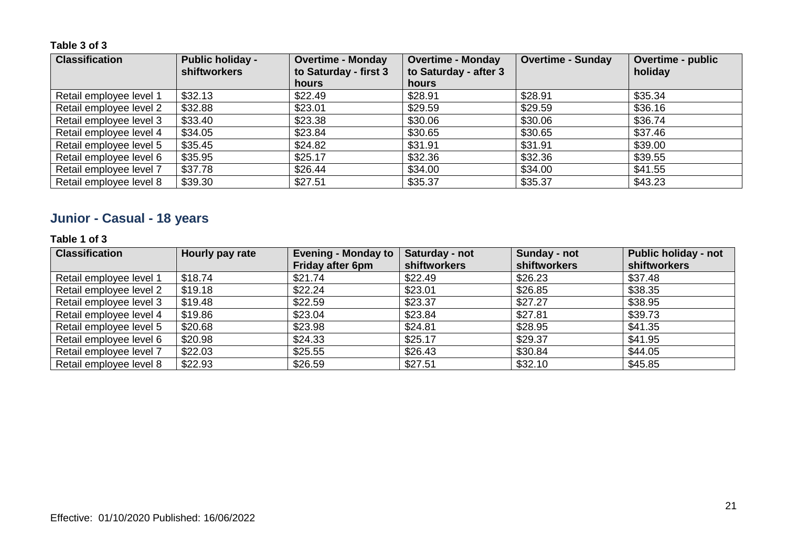| <b>Classification</b>   | <b>Public holiday -</b><br><b>shiftworkers</b> | <b>Overtime - Monday</b><br>to Saturday - first 3 | <b>Overtime - Monday</b><br>to Saturday - after 3 | <b>Overtime - Sunday</b> | <b>Overtime - public</b><br>holiday |
|-------------------------|------------------------------------------------|---------------------------------------------------|---------------------------------------------------|--------------------------|-------------------------------------|
|                         |                                                | <b>hours</b>                                      | <b>hours</b>                                      |                          |                                     |
| Retail employee level 1 | \$32.13                                        | \$22.49                                           | \$28.91                                           | \$28.91                  | \$35.34                             |
| Retail employee level 2 | \$32.88                                        | \$23.01                                           | \$29.59                                           | \$29.59                  | \$36.16                             |
| Retail employee level 3 | \$33.40                                        | \$23.38                                           | \$30.06                                           | \$30.06                  | \$36.74                             |
| Retail employee level 4 | \$34.05                                        | \$23.84                                           | \$30.65                                           | \$30.65                  | \$37.46                             |
| Retail employee level 5 | \$35.45                                        | \$24.82                                           | \$31.91                                           | \$31.91                  | \$39.00                             |
| Retail employee level 6 | \$35.95                                        | \$25.17                                           | \$32.36                                           | \$32.36                  | \$39.55                             |
| Retail employee level 7 | \$37.78                                        | \$26.44                                           | \$34.00                                           | \$34.00                  | \$41.55                             |
| Retail employee level 8 | \$39.30                                        | \$27.51                                           | \$35.37                                           | \$35.37                  | \$43.23                             |

### **Junior - Casual - 18 years**

### **Table 1 of 3**

| <b>Classification</b>   | Hourly pay rate | <b>Evening - Monday to</b> | Saturday - not | Sunday - not | <b>Public holiday - not</b> |
|-------------------------|-----------------|----------------------------|----------------|--------------|-----------------------------|
|                         |                 | <b>Friday after 6pm</b>    | shiftworkers   | shiftworkers | shiftworkers                |
| Retail employee level 1 | \$18.74         | \$21.74                    | \$22.49        | \$26.23      | \$37.48                     |
| Retail employee level 2 | \$19.18         | \$22.24                    | \$23.01        | \$26.85      | \$38.35                     |
| Retail employee level 3 | \$19.48         | \$22.59                    | \$23.37        | \$27.27      | \$38.95                     |
| Retail employee level 4 | \$19.86         | \$23.04                    | \$23.84        | \$27.81      | \$39.73                     |
| Retail employee level 5 | \$20.68         | \$23.98                    | \$24.81        | \$28.95      | \$41.35                     |
| Retail employee level 6 | \$20.98         | \$24.33                    | \$25.17        | \$29.37      | \$41.95                     |
| Retail employee level 7 | \$22.03         | \$25.55                    | \$26.43        | \$30.84      | \$44.05                     |
| Retail employee level 8 | \$22.93         | \$26.59                    | \$27.51        | \$32.10      | \$45.85                     |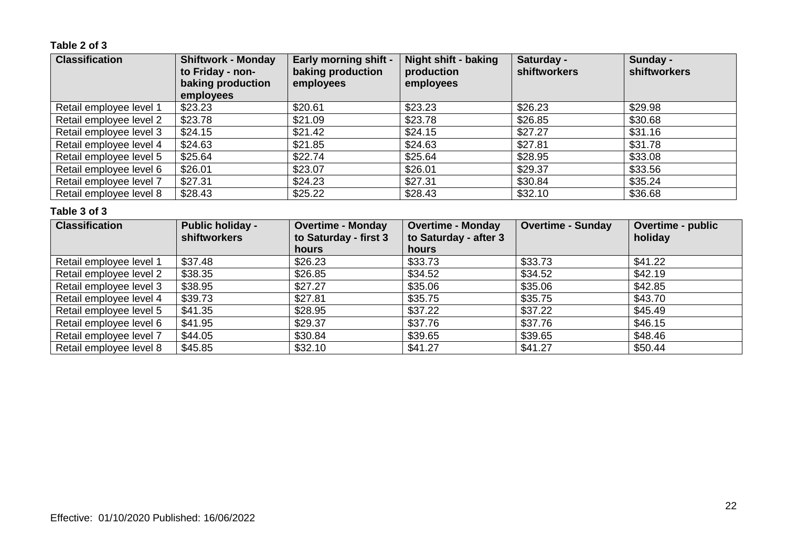### **Table 2 of 3**

| <b>Classification</b>   | <b>Shiftwork - Monday</b><br>to Friday - non-<br>baking production<br>employees | <b>Early morning shift -</b><br>baking production<br>employees | <b>Night shift - baking</b><br>production<br>employees | Saturday -<br><b>shiftworkers</b> | Sunday -<br>shiftworkers |
|-------------------------|---------------------------------------------------------------------------------|----------------------------------------------------------------|--------------------------------------------------------|-----------------------------------|--------------------------|
| Retail employee level 1 | \$23.23                                                                         | \$20.61                                                        | \$23.23                                                | \$26.23                           | \$29.98                  |
| Retail employee level 2 | \$23.78                                                                         | \$21.09                                                        | \$23.78                                                | \$26.85                           | \$30.68                  |
| Retail employee level 3 | \$24.15                                                                         | \$21.42                                                        | \$24.15                                                | \$27.27                           | \$31.16                  |
| Retail employee level 4 | \$24.63                                                                         | \$21.85                                                        | \$24.63                                                | \$27.81                           | \$31.78                  |
| Retail employee level 5 | \$25.64                                                                         | \$22.74                                                        | \$25.64                                                | \$28.95                           | \$33.08                  |
| Retail employee level 6 | \$26.01                                                                         | \$23.07                                                        | \$26.01                                                | \$29.37                           | \$33.56                  |
| Retail employee level 7 | \$27.31                                                                         | \$24.23                                                        | \$27.31                                                | \$30.84                           | \$35.24                  |
| Retail employee level 8 | \$28.43                                                                         | \$25.22                                                        | \$28.43                                                | \$32.10                           | \$36.68                  |

| <b>Classification</b>   | <b>Public holiday -</b><br><b>shiftworkers</b> | <b>Overtime - Monday</b><br>to Saturday - first 3<br>hours | <b>Overtime - Monday</b><br>to Saturday - after 3<br>hours | <b>Overtime - Sunday</b> | <b>Overtime - public</b><br>holiday |
|-------------------------|------------------------------------------------|------------------------------------------------------------|------------------------------------------------------------|--------------------------|-------------------------------------|
| Retail employee level 1 | \$37.48                                        | \$26.23                                                    | \$33.73                                                    | \$33.73                  | \$41.22                             |
| Retail employee level 2 | \$38.35                                        | \$26.85                                                    | \$34.52                                                    | \$34.52                  | \$42.19                             |
| Retail employee level 3 | \$38.95                                        | \$27.27                                                    | \$35.06                                                    | \$35.06                  | \$42.85                             |
| Retail employee level 4 | \$39.73                                        | \$27.81                                                    | \$35.75                                                    | \$35.75                  | \$43.70                             |
| Retail employee level 5 | \$41.35                                        | \$28.95                                                    | \$37.22                                                    | \$37.22                  | \$45.49                             |
| Retail employee level 6 | \$41.95                                        | \$29.37                                                    | \$37.76                                                    | \$37.76                  | \$46.15                             |
| Retail employee level 7 | \$44.05                                        | \$30.84                                                    | \$39.65                                                    | \$39.65                  | \$48.46                             |
| Retail employee level 8 | \$45.85                                        | \$32.10                                                    | \$41.27                                                    | \$41.27                  | \$50.44                             |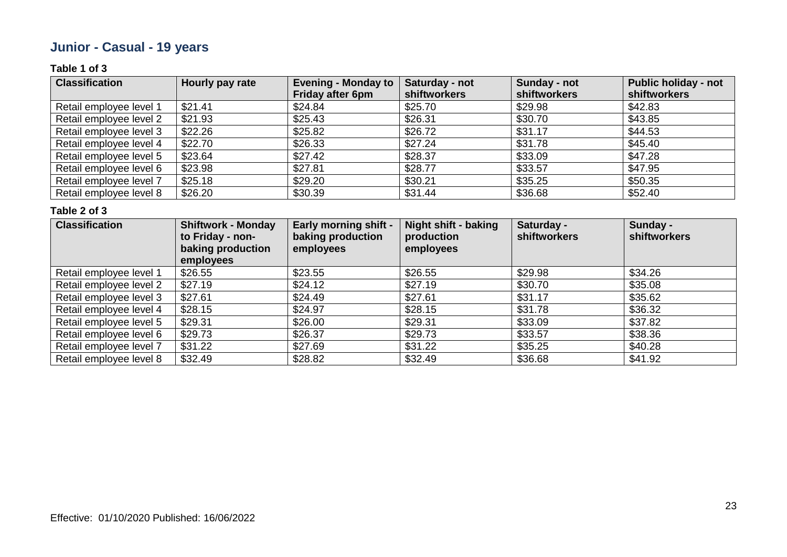### **Junior - Casual - 19 years**

### **Table 1 of 3**

| <b>Classification</b>   | Hourly pay rate | <b>Evening - Monday to</b> | Saturday - not      | Sunday - not | <b>Public holiday - not</b> |
|-------------------------|-----------------|----------------------------|---------------------|--------------|-----------------------------|
|                         |                 | <b>Friday after 6pm</b>    | <b>shiftworkers</b> | shiftworkers | shiftworkers                |
| Retail employee level 1 | \$21.41         | \$24.84                    | \$25.70             | \$29.98      | \$42.83                     |
| Retail employee level 2 | \$21.93         | \$25.43                    | \$26.31             | \$30.70      | \$43.85                     |
| Retail employee level 3 | \$22.26         | \$25.82                    | \$26.72             | \$31.17      | \$44.53                     |
| Retail employee level 4 | \$22.70         | \$26.33                    | \$27.24             | \$31.78      | \$45.40                     |
| Retail employee level 5 | \$23.64         | \$27.42                    | \$28.37             | \$33.09      | \$47.28                     |
| Retail employee level 6 | \$23.98         | \$27.81                    | \$28.77             | \$33.57      | \$47.95                     |
| Retail employee level 7 | \$25.18         | \$29.20                    | \$30.21             | \$35.25      | \$50.35                     |
| Retail employee level 8 | \$26.20         | \$30.39                    | \$31.44             | \$36.68      | \$52.40                     |

| <b>Classification</b>   | <b>Shiftwork - Monday</b><br>to Friday - non-<br>baking production<br>employees | <b>Early morning shift -</b><br>baking production<br>employees | <b>Night shift - baking</b><br>production<br>employees | Saturday -<br><b>shiftworkers</b> | Sunday -<br><b>shiftworkers</b> |
|-------------------------|---------------------------------------------------------------------------------|----------------------------------------------------------------|--------------------------------------------------------|-----------------------------------|---------------------------------|
| Retail employee level 1 | \$26.55                                                                         | \$23.55                                                        | \$26.55                                                | \$29.98                           | \$34.26                         |
| Retail employee level 2 | \$27.19                                                                         | \$24.12                                                        | \$27.19                                                | \$30.70                           | \$35.08                         |
| Retail employee level 3 | \$27.61                                                                         | \$24.49                                                        | \$27.61                                                | \$31.17                           | \$35.62                         |
| Retail employee level 4 | \$28.15                                                                         | \$24.97                                                        | \$28.15                                                | \$31.78                           | \$36.32                         |
| Retail employee level 5 | \$29.31                                                                         | \$26.00                                                        | \$29.31                                                | \$33.09                           | \$37.82                         |
| Retail employee level 6 | \$29.73                                                                         | \$26.37                                                        | \$29.73                                                | \$33.57                           | \$38.36                         |
| Retail employee level 7 | \$31.22                                                                         | \$27.69                                                        | \$31.22                                                | \$35.25                           | \$40.28                         |
| Retail employee level 8 | \$32.49                                                                         | \$28.82                                                        | \$32.49                                                | \$36.68                           | \$41.92                         |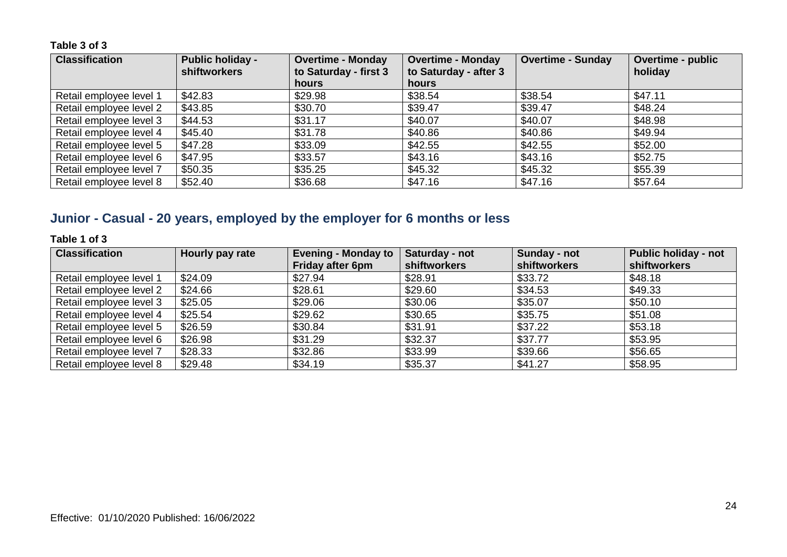| <b>Classification</b>   | <b>Public holiday -</b><br><b>shiftworkers</b> | <b>Overtime - Monday</b><br>to Saturday - first 3 | <b>Overtime - Monday</b><br>to Saturday - after 3 | <b>Overtime - Sunday</b> | <b>Overtime - public</b><br>holiday |
|-------------------------|------------------------------------------------|---------------------------------------------------|---------------------------------------------------|--------------------------|-------------------------------------|
|                         |                                                | hours                                             | <b>hours</b>                                      |                          |                                     |
| Retail employee level 1 | \$42.83                                        | \$29.98                                           | \$38.54                                           | \$38.54                  | \$47.11                             |
| Retail employee level 2 | \$43.85                                        | \$30.70                                           | \$39.47                                           | \$39.47                  | \$48.24                             |
| Retail employee level 3 | \$44.53                                        | \$31.17                                           | \$40.07                                           | \$40.07                  | \$48.98                             |
| Retail employee level 4 | \$45.40                                        | \$31.78                                           | \$40.86                                           | \$40.86                  | \$49.94                             |
| Retail employee level 5 | \$47.28                                        | \$33.09                                           | \$42.55                                           | \$42.55                  | \$52.00                             |
| Retail employee level 6 | \$47.95                                        | \$33.57                                           | \$43.16                                           | \$43.16                  | \$52.75                             |
| Retail employee level 7 | \$50.35                                        | \$35.25                                           | \$45.32                                           | \$45.32                  | \$55.39                             |
| Retail employee level 8 | \$52.40                                        | \$36.68                                           | \$47.16                                           | \$47.16                  | \$57.64                             |

### **Junior - Casual - 20 years, employed by the employer for 6 months or less**

### **Table 1 of 3**

| <b>Classification</b>   | Hourly pay rate | <b>Evening - Monday to</b> | Saturday - not      | Sunday - not | <b>Public holiday - not</b> |
|-------------------------|-----------------|----------------------------|---------------------|--------------|-----------------------------|
|                         |                 | <b>Friday after 6pm</b>    | <b>shiftworkers</b> | shiftworkers | shiftworkers                |
| Retail employee level 1 | \$24.09         | \$27.94                    | \$28.91             | \$33.72      | \$48.18                     |
| Retail employee level 2 | \$24.66         | \$28.61                    | \$29.60             | \$34.53      | \$49.33                     |
| Retail employee level 3 | \$25.05         | \$29.06                    | \$30.06             | \$35.07      | \$50.10                     |
| Retail employee level 4 | \$25.54         | \$29.62                    | \$30.65             | \$35.75      | \$51.08                     |
| Retail employee level 5 | \$26.59         | \$30.84                    | \$31.91             | \$37.22      | \$53.18                     |
| Retail employee level 6 | \$26.98         | \$31.29                    | \$32.37             | \$37.77      | \$53.95                     |
| Retail employee level 7 | \$28.33         | \$32.86                    | \$33.99             | \$39.66      | \$56.65                     |
| Retail employee level 8 | \$29.48         | \$34.19                    | \$35.37             | \$41.27      | \$58.95                     |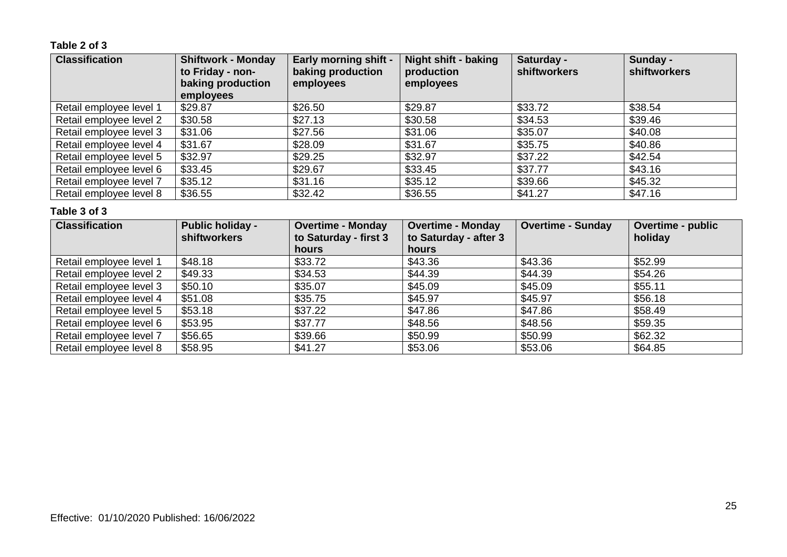### **Table 2 of 3**

| <b>Classification</b>   | <b>Shiftwork - Monday</b><br>to Friday - non-<br>baking production<br>employees | <b>Early morning shift -</b><br>baking production<br>employees | <b>Night shift - baking</b><br>production<br>employees | Saturday -<br><b>shiftworkers</b> | Sunday -<br>shiftworkers |
|-------------------------|---------------------------------------------------------------------------------|----------------------------------------------------------------|--------------------------------------------------------|-----------------------------------|--------------------------|
| Retail employee level 1 | \$29.87                                                                         | \$26.50                                                        | \$29.87                                                | \$33.72                           | \$38.54                  |
| Retail employee level 2 | \$30.58                                                                         | \$27.13                                                        | \$30.58                                                | \$34.53                           | \$39.46                  |
| Retail employee level 3 | \$31.06                                                                         | \$27.56                                                        | \$31.06                                                | \$35.07                           | \$40.08                  |
| Retail employee level 4 | \$31.67                                                                         | \$28.09                                                        | \$31.67                                                | \$35.75                           | \$40.86                  |
| Retail employee level 5 | \$32.97                                                                         | \$29.25                                                        | \$32.97                                                | \$37.22                           | \$42.54                  |
| Retail employee level 6 | \$33.45                                                                         | \$29.67                                                        | \$33.45                                                | \$37.77                           | \$43.16                  |
| Retail employee level 7 | \$35.12                                                                         | \$31.16                                                        | \$35.12                                                | \$39.66                           | \$45.32                  |
| Retail employee level 8 | \$36.55                                                                         | \$32.42                                                        | \$36.55                                                | \$41.27                           | \$47.16                  |

| <b>Classification</b>   | <b>Public holiday -</b><br><b>shiftworkers</b> | <b>Overtime - Monday</b><br>to Saturday - first 3<br>hours | <b>Overtime - Monday</b><br>to Saturday - after 3<br>hours | <b>Overtime - Sunday</b> | <b>Overtime - public</b><br>holiday |
|-------------------------|------------------------------------------------|------------------------------------------------------------|------------------------------------------------------------|--------------------------|-------------------------------------|
| Retail employee level 1 | \$48.18                                        | \$33.72                                                    | \$43.36                                                    | \$43.36                  | \$52.99                             |
| Retail employee level 2 | \$49.33                                        | \$34.53                                                    | \$44.39                                                    | \$44.39                  | \$54.26                             |
| Retail employee level 3 | \$50.10                                        | \$35.07                                                    | \$45.09                                                    | \$45.09                  | \$55.11                             |
| Retail employee level 4 | \$51.08                                        | \$35.75                                                    | \$45.97                                                    | \$45.97                  | \$56.18                             |
| Retail employee level 5 | \$53.18                                        | \$37.22                                                    | \$47.86                                                    | \$47.86                  | \$58.49                             |
| Retail employee level 6 | \$53.95                                        | \$37.77                                                    | \$48.56                                                    | \$48.56                  | \$59.35                             |
| Retail employee level 7 | \$56.65                                        | \$39.66                                                    | \$50.99                                                    | \$50.99                  | \$62.32                             |
| Retail employee level 8 | \$58.95                                        | \$41.27                                                    | \$53.06                                                    | \$53.06                  | \$64.85                             |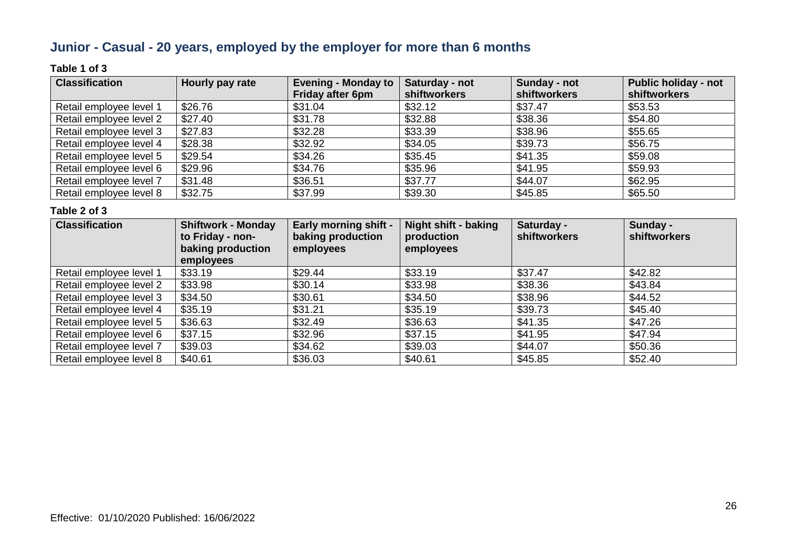### **Junior - Casual - 20 years, employed by the employer for more than 6 months**

### **Table 1 of 3**

| <b>Classification</b>   | Hourly pay rate | <b>Evening - Monday to</b> | Saturday - not | Sunday - not | <b>Public holiday - not</b> |
|-------------------------|-----------------|----------------------------|----------------|--------------|-----------------------------|
|                         |                 | <b>Friday after 6pm</b>    | shiftworkers   | shiftworkers | shiftworkers                |
| Retail employee level 1 | \$26.76         | \$31.04                    | \$32.12        | \$37.47      | \$53.53                     |
| Retail employee level 2 | \$27.40         | \$31.78                    | \$32.88        | \$38.36      | \$54.80                     |
| Retail employee level 3 | \$27.83         | \$32.28                    | \$33.39        | \$38.96      | \$55.65                     |
| Retail employee level 4 | \$28.38         | \$32.92                    | \$34.05        | \$39.73      | \$56.75                     |
| Retail employee level 5 | \$29.54         | \$34.26                    | \$35.45        | \$41.35      | \$59.08                     |
| Retail employee level 6 | \$29.96         | \$34.76                    | \$35.96        | \$41.95      | \$59.93                     |
| Retail employee level 7 | \$31.48         | \$36.51                    | \$37.77        | \$44.07      | \$62.95                     |
| Retail employee level 8 | \$32.75         | \$37.99                    | \$39.30        | \$45.85      | \$65.50                     |

| <b>Classification</b>   | <b>Shiftwork - Monday</b><br>to Friday - non-<br>baking production<br>employees | <b>Early morning shift -</b><br>baking production<br>employees | <b>Night shift - baking</b><br>production<br>employees | Saturday -<br>shiftworkers | Sunday -<br><b>shiftworkers</b> |
|-------------------------|---------------------------------------------------------------------------------|----------------------------------------------------------------|--------------------------------------------------------|----------------------------|---------------------------------|
| Retail employee level 1 | \$33.19                                                                         | \$29.44                                                        | \$33.19                                                | \$37.47                    | \$42.82                         |
| Retail employee level 2 | \$33.98                                                                         | \$30.14                                                        | \$33.98                                                | \$38.36                    | \$43.84                         |
| Retail employee level 3 | \$34.50                                                                         | \$30.61                                                        | \$34.50                                                | \$38.96                    | \$44.52                         |
| Retail employee level 4 | \$35.19                                                                         | \$31.21                                                        | \$35.19                                                | \$39.73                    | \$45.40                         |
| Retail employee level 5 | \$36.63                                                                         | \$32.49                                                        | \$36.63                                                | \$41.35                    | \$47.26                         |
| Retail employee level 6 | \$37.15                                                                         | \$32.96                                                        | \$37.15                                                | \$41.95                    | \$47.94                         |
| Retail employee level 7 | \$39.03                                                                         | \$34.62                                                        | \$39.03                                                | \$44.07                    | \$50.36                         |
| Retail employee level 8 | \$40.61                                                                         | \$36.03                                                        | \$40.61                                                | \$45.85                    | \$52.40                         |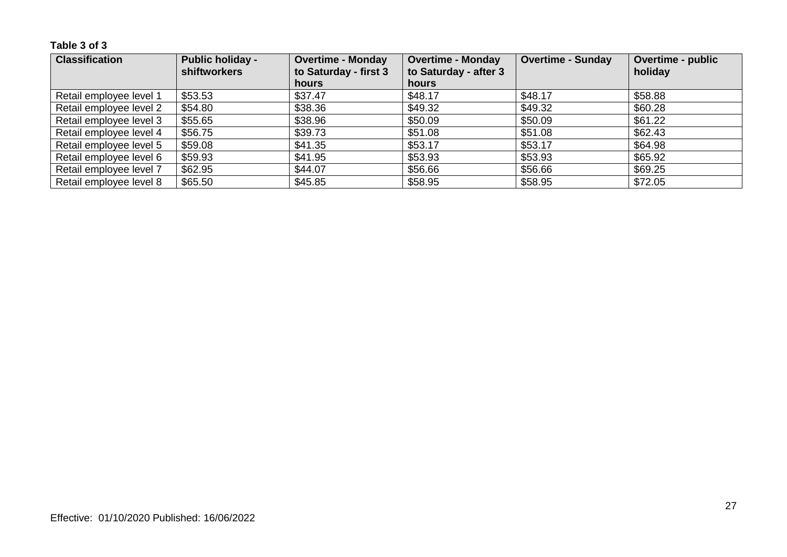| <b>Classification</b>   | <b>Public holiday -</b><br><b>shiftworkers</b> | <b>Overtime - Monday</b><br>to Saturday - first 3 | <b>Overtime - Monday</b><br>to Saturday - after 3 | <b>Overtime - Sunday</b> | <b>Overtime - public</b><br>holiday |
|-------------------------|------------------------------------------------|---------------------------------------------------|---------------------------------------------------|--------------------------|-------------------------------------|
|                         |                                                | hours                                             | hours                                             |                          |                                     |
| Retail employee level 1 | \$53.53                                        | \$37.47                                           | \$48.17                                           | \$48.17                  | \$58.88                             |
| Retail employee level 2 | \$54.80                                        | \$38.36                                           | \$49.32                                           | \$49.32                  | \$60.28                             |
| Retail employee level 3 | \$55.65                                        | \$38.96                                           | \$50.09                                           | \$50.09                  | \$61.22                             |
| Retail employee level 4 | \$56.75                                        | \$39.73                                           | \$51.08                                           | \$51.08                  | \$62.43                             |
| Retail employee level 5 | \$59.08                                        | \$41.35                                           | \$53.17                                           | \$53.17                  | \$64.98                             |
| Retail employee level 6 | \$59.93                                        | \$41.95                                           | \$53.93                                           | \$53.93                  | \$65.92                             |
| Retail employee level 7 | \$62.95                                        | \$44.07                                           | \$56.66                                           | \$56.66                  | \$69.25                             |
| Retail employee level 8 | \$65.50                                        | \$45.85                                           | \$58.95                                           | \$58.95                  | \$72.05                             |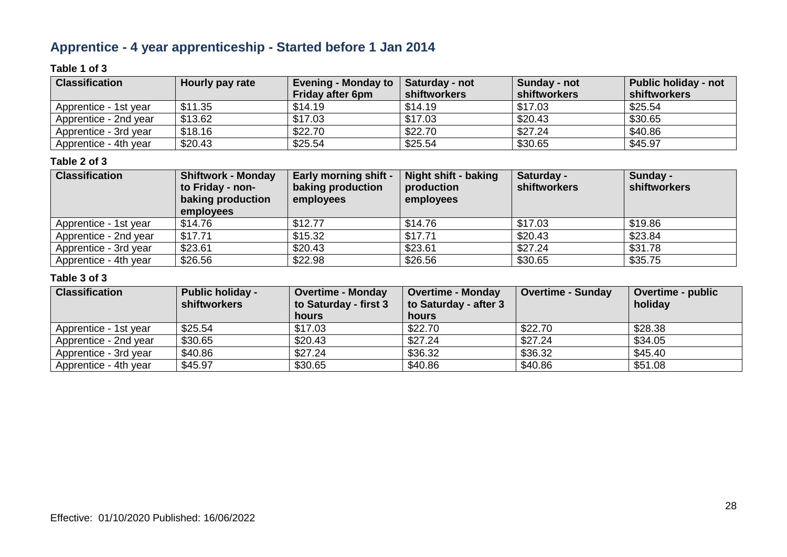### **Apprentice - 4 year apprenticeship - Started before 1 Jan 2014**

### **Table 1 of 3**

| <b>Classification</b> | Hourly pay rate | Evening - Monday to $\ $<br><b>Friday after 6pm</b> | <b>Saturday - not</b><br>shiftworkers | Sunday - not<br>shiftworkers | <b>Public holiday - not</b><br>shiftworkers |
|-----------------------|-----------------|-----------------------------------------------------|---------------------------------------|------------------------------|---------------------------------------------|
| Apprentice - 1st year | \$11.35         | \$14.19                                             | \$14.19                               | \$17.03                      | \$25.54                                     |
| Apprentice - 2nd year | \$13.62         | \$17.03                                             | \$17.03                               | \$20.43                      | \$30.65                                     |
| Apprentice - 3rd year | \$18.16         | \$22.70                                             | \$22.70                               | \$27.24                      | \$40.86                                     |
| Apprentice - 4th year | \$20.43         | \$25.54                                             | \$25.54                               | \$30.65                      | \$45.97                                     |

### **Table 2 of 3**

| <b>Classification</b> | <b>Shiftwork - Monday</b><br>to Friday - non-<br>baking production<br>employees | <b>Early morning shift -</b><br>baking production<br>employees | Night shift - baking<br>production<br>employees | Saturday -<br>shiftworkers | Sunday -<br>shiftworkers |
|-----------------------|---------------------------------------------------------------------------------|----------------------------------------------------------------|-------------------------------------------------|----------------------------|--------------------------|
| Apprentice - 1st year | \$14.76                                                                         | \$12.77                                                        | \$14.76                                         | \$17.03                    | \$19.86                  |
| Apprentice - 2nd year | \$17.71                                                                         | \$15.32                                                        | \$17.71                                         | \$20.43                    | \$23.84                  |
| Apprentice - 3rd year | \$23.61                                                                         | \$20.43                                                        | \$23.61                                         | \$27.24                    | \$31.78                  |
| Apprentice - 4th year | \$26.56                                                                         | \$22.98                                                        | \$26.56                                         | \$30.65                    | \$35.75                  |

| <b>Classification</b> | <b>Public holiday -</b><br><b>shiftworkers</b> | <b>Overtime - Monday</b><br>to Saturday - first 3 | <b>Overtime - Monday</b><br>to Saturday - after 3 | <b>Overtime - Sunday</b> | Overtime - public<br>holiday |
|-----------------------|------------------------------------------------|---------------------------------------------------|---------------------------------------------------|--------------------------|------------------------------|
|                       |                                                | hours                                             | hours                                             |                          |                              |
| Apprentice - 1st year | \$25.54                                        | \$17.03                                           | \$22.70                                           | \$22.70                  | \$28.38                      |
| Apprentice - 2nd year | \$30.65                                        | \$20.43                                           | \$27.24                                           | \$27.24                  | \$34.05                      |
| Apprentice - 3rd year | \$40.86                                        | \$27.24                                           | \$36.32                                           | \$36.32                  | \$45.40                      |
| Apprentice - 4th year | \$45.97                                        | \$30.65                                           | \$40.86                                           | \$40.86                  | \$51.08                      |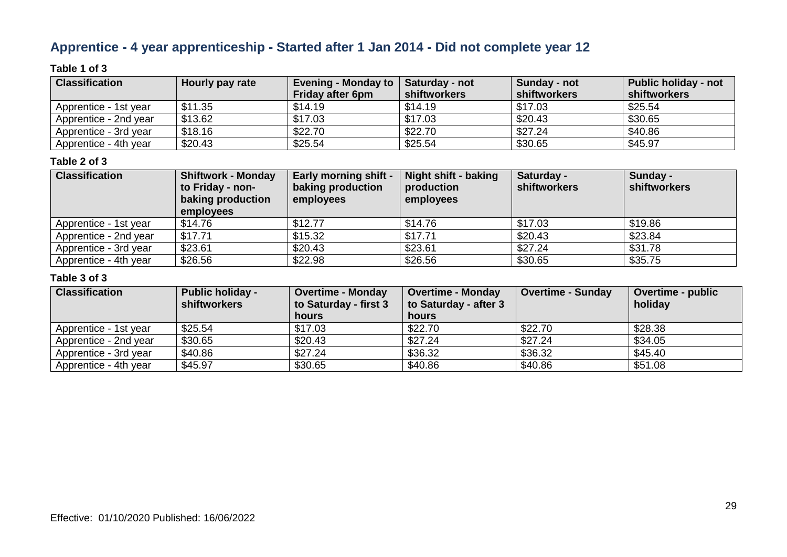### **Apprentice - 4 year apprenticeship - Started after 1 Jan 2014 - Did not complete year 12**

### **Table 1 of 3**

| <b>Classification</b> | <b>Hourly pay rate</b> | <b>Evening - Monday to</b><br><b>Friday after 6pm</b> | Saturday - not<br><b>shiftworkers</b> | Sunday - not<br>shiftworkers | <b>Public holiday - not</b><br>shiftworkers |
|-----------------------|------------------------|-------------------------------------------------------|---------------------------------------|------------------------------|---------------------------------------------|
| Apprentice - 1st year | \$11.35                | \$14.19                                               | \$14.19                               | \$17.03                      | \$25.54                                     |
| Apprentice - 2nd year | \$13.62                | \$17.03                                               | \$17.03                               | \$20.43                      | \$30.65                                     |
| Apprentice - 3rd year | \$18.16                | \$22.70                                               | \$22.70                               | \$27.24                      | \$40.86                                     |
| Apprentice - 4th year | \$20.43                | \$25.54                                               | \$25.54                               | \$30.65                      | \$45.97                                     |

#### **Table 2 of 3**

| <b>Classification</b> | <b>Shiftwork - Monday</b><br>to Friday - non-<br>baking production<br>employees | <b>Early morning shift -</b><br>baking production<br>employees | Night shift - baking<br>production<br>employees | Saturday -<br>shiftworkers | Sunday -<br>shiftworkers |
|-----------------------|---------------------------------------------------------------------------------|----------------------------------------------------------------|-------------------------------------------------|----------------------------|--------------------------|
| Apprentice - 1st year | \$14.76                                                                         | \$12.77                                                        | \$14.76                                         | \$17.03                    | \$19.86                  |
| Apprentice - 2nd year | \$17.71                                                                         | \$15.32                                                        | \$17.71                                         | \$20.43                    | \$23.84                  |
| Apprentice - 3rd year | \$23.61                                                                         | \$20.43                                                        | \$23.61                                         | \$27.24                    | \$31.78                  |
| Apprentice - 4th year | \$26.56                                                                         | \$22.98                                                        | \$26.56                                         | \$30.65                    | \$35.75                  |

| <b>Classification</b> | <b>Public holiday -</b><br><b>shiftworkers</b> | <b>Overtime - Monday</b><br>to Saturday - first 3 | <b>Overtime - Monday</b><br>to Saturday - after 3 | <b>Overtime - Sunday</b> | Overtime - public<br>holiday |
|-----------------------|------------------------------------------------|---------------------------------------------------|---------------------------------------------------|--------------------------|------------------------------|
|                       |                                                | hours                                             | hours                                             |                          |                              |
| Apprentice - 1st year | \$25.54                                        | \$17.03                                           | \$22.70                                           | \$22.70                  | \$28.38                      |
| Apprentice - 2nd year | \$30.65                                        | \$20.43                                           | \$27.24                                           | \$27.24                  | \$34.05                      |
| Apprentice - 3rd year | \$40.86                                        | \$27.24                                           | \$36.32                                           | \$36.32                  | \$45.40                      |
| Apprentice - 4th year | \$45.97                                        | \$30.65                                           | \$40.86                                           | \$40.86                  | \$51.08                      |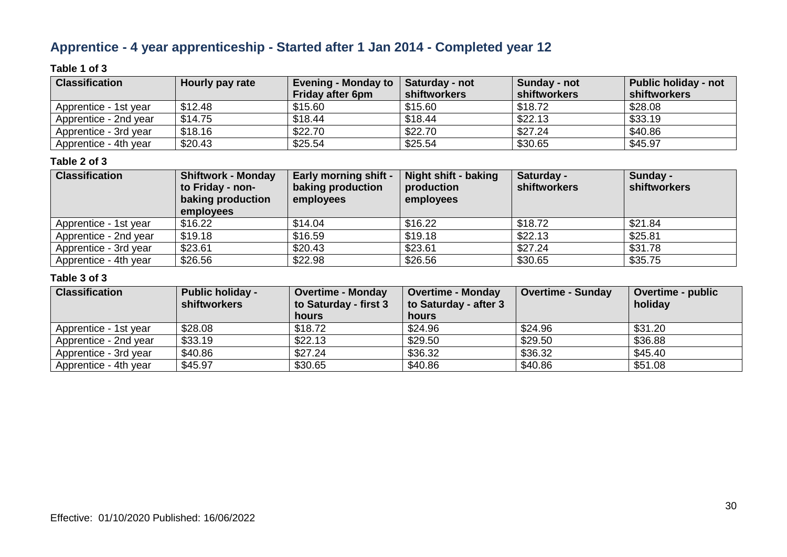### **Apprentice - 4 year apprenticeship - Started after 1 Jan 2014 - Completed year 12**

### **Table 1 of 3**

| <b>Classification</b> | Hourly pay rate | Evening - Monday to $\ $<br><b>Friday after 6pm</b> | <b>Saturday - not</b><br>shiftworkers | Sunday - not<br>shiftworkers | <b>Public holiday - not</b><br>shiftworkers |
|-----------------------|-----------------|-----------------------------------------------------|---------------------------------------|------------------------------|---------------------------------------------|
| Apprentice - 1st year | \$12.48         | \$15.60                                             | \$15.60                               | \$18.72                      | \$28.08                                     |
| Apprentice - 2nd year | \$14.75         | \$18.44                                             | \$18.44                               | \$22.13                      | \$33.19                                     |
| Apprentice - 3rd year | \$18.16         | \$22.70                                             | \$22.70                               | \$27.24                      | \$40.86                                     |
| Apprentice - 4th year | \$20.43         | \$25.54                                             | \$25.54                               | \$30.65                      | \$45.97                                     |

### **Table 2 of 3**

| <b>Classification</b> | <b>Shiftwork - Monday</b><br>to Friday - non-<br>baking production<br>employees | <b>Early morning shift -</b><br>baking production<br>employees | Night shift - baking<br>production<br>employees | Saturday -<br><b>shiftworkers</b> | Sunday -<br>shiftworkers |
|-----------------------|---------------------------------------------------------------------------------|----------------------------------------------------------------|-------------------------------------------------|-----------------------------------|--------------------------|
| Apprentice - 1st year | \$16.22                                                                         | \$14.04                                                        | \$16.22                                         | \$18.72                           | \$21.84                  |
| Apprentice - 2nd year | \$19.18                                                                         | \$16.59                                                        | \$19.18                                         | \$22.13                           | \$25.81                  |
| Apprentice - 3rd year | \$23.61                                                                         | \$20.43                                                        | \$23.61                                         | \$27.24                           | \$31.78                  |
| Apprentice - 4th year | \$26.56                                                                         | \$22.98                                                        | \$26.56                                         | \$30.65                           | \$35.75                  |

| <b>Classification</b> | <b>Public holiday -</b><br><b>shiftworkers</b> | <b>Overtime - Monday</b><br>to Saturday - first 3 | <b>Overtime - Monday</b><br>to Saturday - after 3 | <b>Overtime - Sunday</b> | <b>Overtime - public</b><br>holiday |
|-----------------------|------------------------------------------------|---------------------------------------------------|---------------------------------------------------|--------------------------|-------------------------------------|
|                       |                                                | hours                                             | <b>hours</b>                                      |                          |                                     |
| Apprentice - 1st year | \$28.08                                        | \$18.72                                           | \$24.96                                           | \$24.96                  | \$31.20                             |
| Apprentice - 2nd year | \$33.19                                        | \$22.13                                           | \$29.50                                           | \$29.50                  | \$36.88                             |
| Apprentice - 3rd year | \$40.86                                        | \$27.24                                           | \$36.32                                           | \$36.32                  | \$45.40                             |
| Apprentice - 4th year | \$45.97                                        | \$30.65                                           | \$40.86                                           | \$40.86                  | \$51.08                             |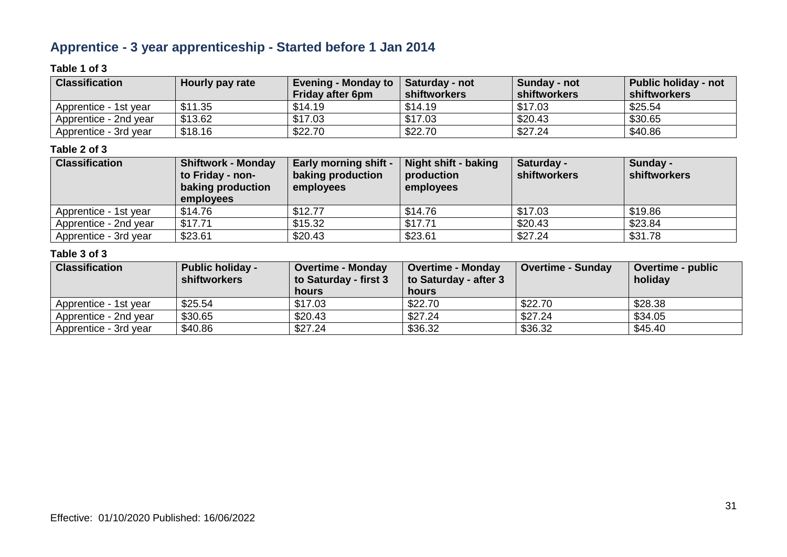### **Apprentice - 3 year apprenticeship - Started before 1 Jan 2014**

### **Table 1 of 3**

| <b>Classification</b> | Hourly pay rate | <b>Evening - Monday to</b> | Saturday - not      | Sunday - not        | <b>Public holiday - not</b> |
|-----------------------|-----------------|----------------------------|---------------------|---------------------|-----------------------------|
|                       |                 | Friday after 6pm           | <b>shiftworkers</b> | <b>shiftworkers</b> | shiftworkers                |
| Apprentice - 1st vear | \$11.35         | \$14.19                    | \$14.19             | \$17.03             | \$25.54                     |
| Apprentice - 2nd year | \$13.62         | \$17.03                    | \$17.03             | \$20.43             | \$30.65                     |
| Apprentice - 3rd year | \$18.16         | \$22.70                    | \$22.70             | \$27.24             | \$40.86                     |

### **Table 2 of 3**

| <b>Classification</b> | <b>Shiftwork - Monday</b><br>to Friday - non-<br>baking production<br>employees | <b>Early morning shift -</b><br>baking production<br>employees | Night shift - baking<br>production<br>employees | Saturday -<br><b>shiftworkers</b> | Sunday -<br>shiftworkers |
|-----------------------|---------------------------------------------------------------------------------|----------------------------------------------------------------|-------------------------------------------------|-----------------------------------|--------------------------|
| Apprentice - 1st year | \$14.76                                                                         | \$12.77                                                        | \$14.76                                         | \$17.03                           | \$19.86                  |
| Apprentice - 2nd year | \$17.71                                                                         | \$15.32                                                        | \$17.71                                         | \$20.43                           | \$23.84                  |
| Apprentice - 3rd year | \$23.61                                                                         | \$20.43                                                        | \$23.61                                         | \$27.24                           | \$31.78                  |

| <b>Classification</b> | <b>Public holiday -</b><br>shiftworkers | <b>Overtime - Monday</b><br>to Saturday - first 3<br>hours | <b>Overtime - Monday</b><br>to Saturday - after 3<br>hours | <b>Overtime - Sunday</b> | Overtime - public<br>holidav |
|-----------------------|-----------------------------------------|------------------------------------------------------------|------------------------------------------------------------|--------------------------|------------------------------|
| Apprentice - 1st year | \$25.54                                 | \$17.03                                                    | \$22.70                                                    | \$22.70                  | \$28.38                      |
| Apprentice - 2nd year | \$30.65                                 | \$20.43                                                    | \$27.24                                                    | \$27.24                  | \$34.05                      |
| Apprentice - 3rd year | \$40.86                                 | \$27.24                                                    | \$36.32                                                    | \$36.32                  | \$45.40                      |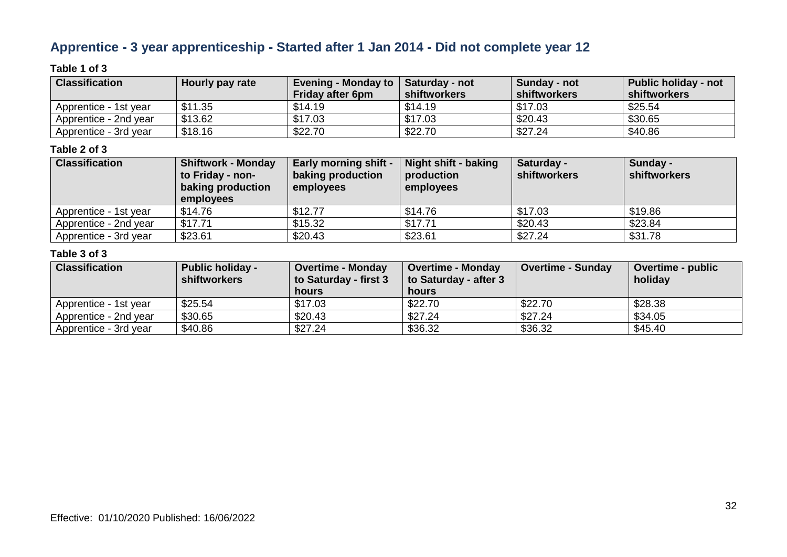### **Apprentice - 3 year apprenticeship - Started after 1 Jan 2014 - Did not complete year 12**

### **Table 1 of 3**

| <b>Classification</b> | Hourly pay rate | Evening - Monday to<br><b>Friday after 6pm</b> | Saturday - not<br>shiftworkers | Sunday - not<br>shiftworkers | <b>Public holiday - not</b><br>shiftworkers |
|-----------------------|-----------------|------------------------------------------------|--------------------------------|------------------------------|---------------------------------------------|
| Apprentice - 1st year | \$11.35         | \$14.19                                        | \$14.19                        | \$17.03                      | \$25.54                                     |
| Apprentice - 2nd year | \$13.62         | \$17.03                                        | \$17.03                        | \$20.43                      | \$30.65                                     |
| Apprentice - 3rd year | \$18.16         | \$22.70                                        | \$22.70                        | \$27.24                      | \$40.86                                     |

#### **Table 2 of 3**

| <b>Classification</b> | <b>Shiftwork - Monday</b><br>to Friday - non-<br>baking production<br>employees | <b>Early morning shift -</b><br>baking production<br>employees | Night shift - baking<br>production<br>employees | Saturday -<br>shiftworkers | Sunday -<br>shiftworkers |
|-----------------------|---------------------------------------------------------------------------------|----------------------------------------------------------------|-------------------------------------------------|----------------------------|--------------------------|
| Apprentice - 1st year | \$14.76                                                                         | \$12.77                                                        | \$14.76                                         | \$17.03                    | \$19.86                  |
| Apprentice - 2nd year | \$17.71                                                                         | \$15.32                                                        | \$17.71                                         | \$20.43                    | \$23.84                  |
| Apprentice - 3rd year | \$23.61                                                                         | \$20.43                                                        | \$23.61                                         | \$27.24                    | \$31.78                  |

| <b>Classification</b> | <b>Public holiday -</b><br>shiftworkers | <b>Overtime - Monday</b><br>to Saturday - first 3<br>hours | <b>Overtime - Monday</b><br>to Saturday - after 3<br>hours | <b>Overtime - Sunday</b> | Overtime - public<br>holidav |
|-----------------------|-----------------------------------------|------------------------------------------------------------|------------------------------------------------------------|--------------------------|------------------------------|
| Apprentice - 1st year | \$25.54                                 | \$17.03                                                    | \$22.70                                                    | \$22.70                  | \$28.38                      |
| Apprentice - 2nd year | \$30.65                                 | \$20.43                                                    | \$27.24                                                    | \$27.24                  | \$34.05                      |
| Apprentice - 3rd year | \$40.86                                 | \$27.24                                                    | \$36.32                                                    | \$36.32                  | \$45.40                      |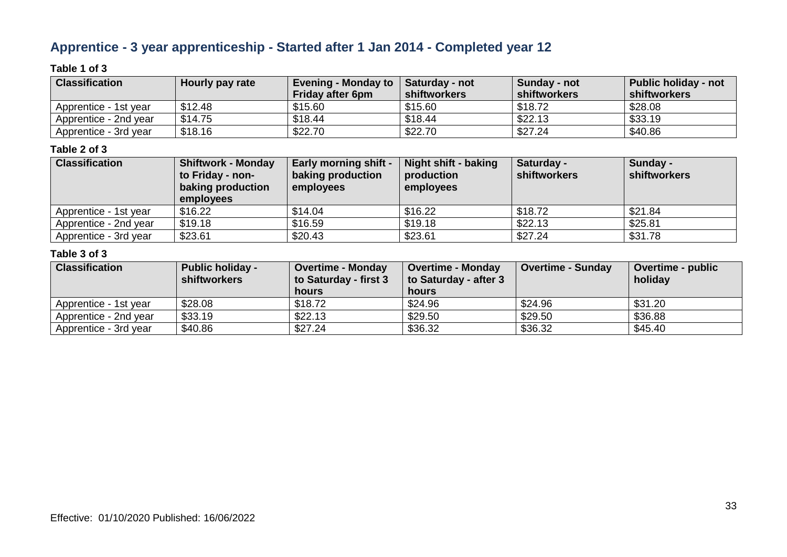### **Apprentice - 3 year apprenticeship - Started after 1 Jan 2014 - Completed year 12**

### **Table 1 of 3**

| <b>Classification</b> | Hourly pay rate | <b>Evening - Monday to</b> | <b>Saturday - not</b> | Sunday - not | <b>Public holiday - not</b> |
|-----------------------|-----------------|----------------------------|-----------------------|--------------|-----------------------------|
|                       |                 | <b>Friday after 6pm</b>    | shiftworkers          | shiftworkers | <b>shiftworkers</b>         |
| Apprentice - 1st vear | \$12.48         | \$15.60                    | \$15.60               | \$18.72      | \$28.08                     |
| Apprentice - 2nd year | \$14.75         | \$18.44                    | \$18.44               | \$22.13      | \$33.19                     |
| Apprentice - 3rd year | \$18.16         | \$22.70                    | \$22.70               | \$27.24      | \$40.86                     |

### **Table 2 of 3**

| <b>Classification</b> | <b>Shiftwork - Monday</b><br>to Friday - non-<br>baking production<br>employees | <b>Early morning shift -</b><br>baking production<br>employees | Night shift - baking<br>production<br>employees | Saturday -<br>shiftworkers | Sunday -<br>shiftworkers |
|-----------------------|---------------------------------------------------------------------------------|----------------------------------------------------------------|-------------------------------------------------|----------------------------|--------------------------|
| Apprentice - 1st year | \$16.22                                                                         | \$14.04                                                        | \$16.22                                         | \$18.72                    | \$21.84                  |
| Apprentice - 2nd year | \$19.18                                                                         | \$16.59                                                        | \$19.18                                         | \$22.13                    | \$25.81                  |
| Apprentice - 3rd year | \$23.61                                                                         | \$20.43                                                        | \$23.61                                         | \$27.24                    | \$31.78                  |

| <b>Classification</b> | <b>Public holiday -</b><br>shiftworkers | <b>Overtime - Monday</b><br>to Saturday - first 3<br>hours | <b>Overtime - Monday</b><br>to Saturday - after 3<br>hours | <b>Overtime - Sunday</b> | Overtime - public<br>holiday |
|-----------------------|-----------------------------------------|------------------------------------------------------------|------------------------------------------------------------|--------------------------|------------------------------|
| Apprentice - 1st year | \$28.08                                 | \$18.72                                                    | \$24.96                                                    | \$24.96                  | \$31.20                      |
| Apprentice - 2nd year | \$33.19                                 | \$22.13                                                    | \$29.50                                                    | \$29.50                  | \$36.88                      |
| Apprentice - 3rd year | \$40.86                                 | \$27.24                                                    | \$36.32                                                    | \$36.32                  | \$45.40                      |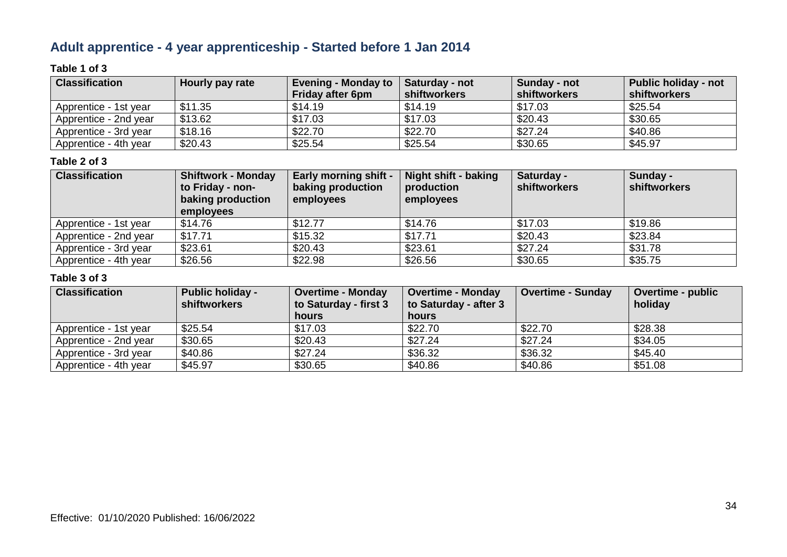### **Adult apprentice - 4 year apprenticeship - Started before 1 Jan 2014**

### **Table 1 of 3**

| <b>Classification</b> | Hourly pay rate | Evening - Monday to<br><b>Friday after 6pm</b> | <b>Saturday - not</b><br><b>shiftworkers</b> | Sunday - not<br>shiftworkers | <b>Public holiday - not</b><br>shiftworkers |
|-----------------------|-----------------|------------------------------------------------|----------------------------------------------|------------------------------|---------------------------------------------|
| Apprentice - 1st year | \$11.35         | \$14.19                                        | \$14.19                                      | \$17.03                      | \$25.54                                     |
| Apprentice - 2nd year | \$13.62         | \$17.03                                        | \$17.03                                      | \$20.43                      | \$30.65                                     |
| Apprentice - 3rd year | \$18.16         | \$22.70                                        | \$22.70                                      | \$27.24                      | \$40.86                                     |
| Apprentice - 4th year | \$20.43         | \$25.54                                        | \$25.54                                      | \$30.65                      | \$45.97                                     |

#### **Table 2 of 3**

| <b>Classification</b> | <b>Shiftwork - Monday</b><br>to Friday - non-<br>baking production<br>employees | <b>Early morning shift -</b><br>baking production<br>employees | Night shift - baking<br>production<br>employees | Saturday -<br><b>shiftworkers</b> | Sunday -<br>shiftworkers |
|-----------------------|---------------------------------------------------------------------------------|----------------------------------------------------------------|-------------------------------------------------|-----------------------------------|--------------------------|
| Apprentice - 1st year | \$14.76                                                                         | \$12.77                                                        | \$14.76                                         | \$17.03                           | \$19.86                  |
| Apprentice - 2nd year | \$17.71                                                                         | \$15.32                                                        | \$17.71                                         | \$20.43                           | \$23.84                  |
| Apprentice - 3rd year | \$23.61                                                                         | \$20.43                                                        | \$23.61                                         | \$27.24                           | \$31.78                  |
| Apprentice - 4th year | \$26.56                                                                         | \$22.98                                                        | \$26.56                                         | \$30.65                           | \$35.75                  |

| <b>Classification</b> | <b>Public holiday -</b><br><b>shiftworkers</b> | <b>Overtime - Monday</b><br>to Saturday - first 3 | <b>Overtime - Monday</b><br>to Saturday - after 3 | <b>Overtime - Sunday</b> | <b>Overtime - public</b><br>holiday |
|-----------------------|------------------------------------------------|---------------------------------------------------|---------------------------------------------------|--------------------------|-------------------------------------|
|                       |                                                | <b>hours</b>                                      | <b>hours</b>                                      |                          |                                     |
| Apprentice - 1st year | \$25.54                                        | \$17.03                                           | \$22.70                                           | \$22.70                  | \$28.38                             |
| Apprentice - 2nd year | \$30.65                                        | \$20.43                                           | \$27.24                                           | \$27.24                  | \$34.05                             |
| Apprentice - 3rd year | \$40.86                                        | \$27.24                                           | \$36.32                                           | \$36.32                  | \$45.40                             |
| Apprentice - 4th year | \$45.97                                        | \$30.65                                           | \$40.86                                           | \$40.86                  | \$51.08                             |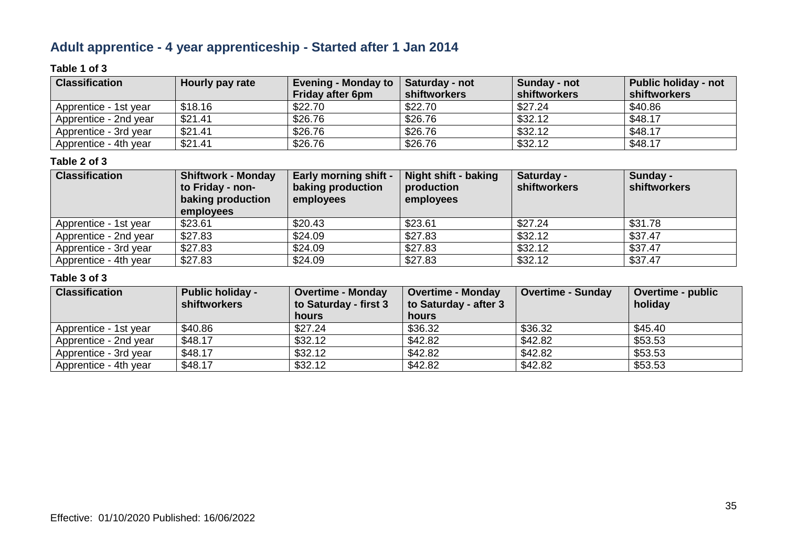### **Adult apprentice - 4 year apprenticeship - Started after 1 Jan 2014**

### **Table 1 of 3**

| <b>Classification</b> | Hourly pay rate | Evening - Monday to $\parallel$<br><b>Friday after 6pm</b> | <b>Saturday - not</b><br>shiftworkers | Sunday - not<br>shiftworkers | <b>Public holiday - not</b><br>shiftworkers |
|-----------------------|-----------------|------------------------------------------------------------|---------------------------------------|------------------------------|---------------------------------------------|
| Apprentice - 1st year | \$18.16         | \$22.70                                                    | \$22.70                               | \$27.24                      | \$40.86                                     |
| Apprentice - 2nd year | \$21.41         | \$26.76                                                    | \$26.76                               | \$32.12                      | \$48.17                                     |
| Apprentice - 3rd year | \$21.41         | \$26.76                                                    | \$26.76                               | \$32.12                      | \$48.17                                     |
| Apprentice - 4th year | \$21.41         | \$26.76                                                    | \$26.76                               | \$32.12                      | \$48.17                                     |

### **Table 2 of 3**

| <b>Classification</b> | <b>Shiftwork - Monday</b><br>to Friday - non-<br>baking production<br>employees | <b>Early morning shift -</b><br>baking production<br>employees | Night shift - baking<br>production<br>employees | Saturday -<br><b>shiftworkers</b> | Sunday -<br>shiftworkers |
|-----------------------|---------------------------------------------------------------------------------|----------------------------------------------------------------|-------------------------------------------------|-----------------------------------|--------------------------|
| Apprentice - 1st year | \$23.61                                                                         | \$20.43                                                        | \$23.61                                         | \$27.24                           | \$31.78                  |
| Apprentice - 2nd year | \$27.83                                                                         | \$24.09                                                        | \$27.83                                         | \$32.12                           | \$37.47                  |
| Apprentice - 3rd year | \$27.83                                                                         | \$24.09                                                        | \$27.83                                         | \$32.12                           | \$37.47                  |
| Apprentice - 4th year | \$27.83                                                                         | \$24.09                                                        | \$27.83                                         | \$32.12                           | \$37.47                  |

| <b>Classification</b> | <b>Public holiday -</b><br><b>shiftworkers</b> | <b>Overtime - Monday</b>       | <b>Overtime - Monday</b>              | <b>Overtime - Sunday</b> | <b>Overtime - public</b><br>holiday |
|-----------------------|------------------------------------------------|--------------------------------|---------------------------------------|--------------------------|-------------------------------------|
|                       |                                                | to Saturday - first 3<br>hours | to Saturday - after 3<br><b>hours</b> |                          |                                     |
| Apprentice - 1st year | \$40.86                                        | \$27.24                        | \$36.32                               | \$36.32                  | \$45.40                             |
| Apprentice - 2nd year | \$48.17                                        | \$32.12                        | \$42.82                               | \$42.82                  | \$53.53                             |
| Apprentice - 3rd year | \$48.17                                        | \$32.12                        | \$42.82                               | \$42.82                  | \$53.53                             |
| Apprentice - 4th year | \$48.17                                        | \$32.12                        | \$42.82                               | \$42.82                  | \$53.53                             |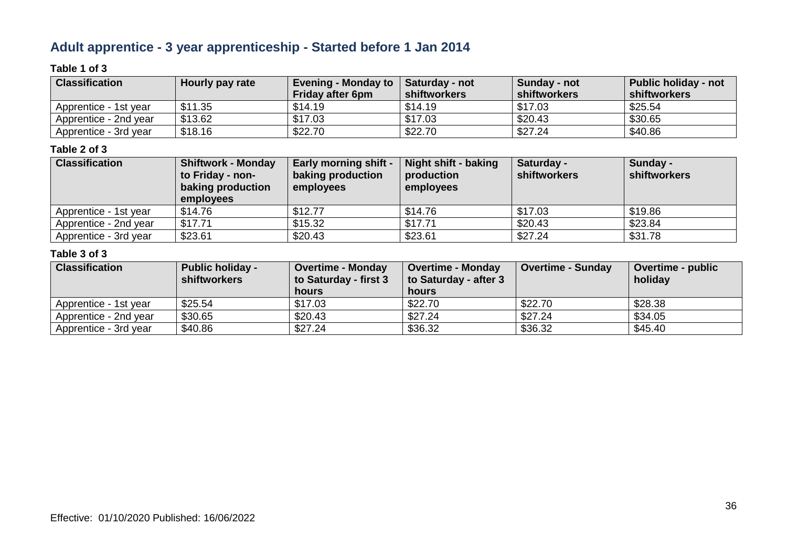### **Adult apprentice - 3 year apprenticeship - Started before 1 Jan 2014**

### **Table 1 of 3**

| <b>Classification</b> | Hourly pay rate | <b>Evening - Monday to</b><br><b>Friday after 6pm</b> | Saturday - not<br>shiftworkers | Sunday - not<br>shiftworkers | Public holiday - not<br>shiftworkers |
|-----------------------|-----------------|-------------------------------------------------------|--------------------------------|------------------------------|--------------------------------------|
| Apprentice - 1st year | \$11.35         | \$14.19                                               | \$14.19                        | \$17.03                      | \$25.54                              |
| Apprentice - 2nd year | \$13.62         | \$17.03                                               | \$17.03                        | \$20.43                      | \$30.65                              |
| Apprentice - 3rd year | \$18.16         | \$22.70                                               | \$22.70                        | \$27.24                      | \$40.86                              |

### **Table 2 of 3**

| <b>Classification</b> | <b>Shiftwork - Monday</b><br>to Friday - non-<br>baking production<br>employees | <b>Early morning shift -</b><br>baking production<br>employees | Night shift - baking<br>production<br>employees | Saturday -<br>shiftworkers | Sunday -<br>shiftworkers |
|-----------------------|---------------------------------------------------------------------------------|----------------------------------------------------------------|-------------------------------------------------|----------------------------|--------------------------|
| Apprentice - 1st year | \$14.76                                                                         | \$12.77                                                        | \$14.76                                         | \$17.03                    | \$19.86                  |
| Apprentice - 2nd year | \$17.71                                                                         | \$15.32                                                        | \$17.71                                         | \$20.43                    | \$23.84                  |
| Apprentice - 3rd year | \$23.61                                                                         | \$20.43                                                        | \$23.61                                         | \$27.24                    | \$31.78                  |

| <b>Classification</b> | <b>Public holiday -</b><br>shiftworkers | <b>Overtime - Monday</b><br>to Saturday - first 3<br>hours | <b>Overtime - Monday</b><br>to Saturday - after 3<br>hours | <b>Overtime - Sunday</b> | Overtime - public<br>holiday |
|-----------------------|-----------------------------------------|------------------------------------------------------------|------------------------------------------------------------|--------------------------|------------------------------|
| Apprentice - 1st year | \$25.54                                 | \$17.03                                                    | \$22.70                                                    | \$22.70                  | \$28.38                      |
| Apprentice - 2nd year | \$30.65                                 | \$20.43                                                    | \$27.24                                                    | \$27.24                  | \$34.05                      |
| Apprentice - 3rd year | \$40.86                                 | \$27.24                                                    | \$36.32                                                    | \$36.32                  | \$45.40                      |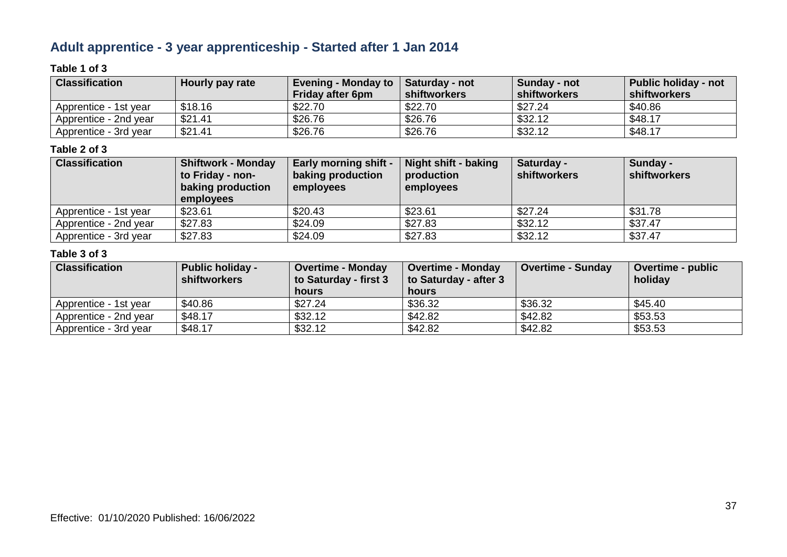### **Adult apprentice - 3 year apprenticeship - Started after 1 Jan 2014**

### **Table 1 of 3**

| <b>Classification</b> | Hourly pay rate | Evening - Monday to $\vert$ Saturday - not<br><b>Friday after 6pm</b> | shiftworkers | Sunday - not<br>shiftworkers | <b>Public holiday - not</b><br>shiftworkers |
|-----------------------|-----------------|-----------------------------------------------------------------------|--------------|------------------------------|---------------------------------------------|
|                       |                 |                                                                       |              |                              |                                             |
| Apprentice - 1st vear | \$18.16         | \$22.70                                                               | \$22.70      | \$27.24                      | \$40.86                                     |
| Apprentice - 2nd year | \$21.41         | \$26.76                                                               | \$26.76      | \$32.12                      | \$48.17                                     |
| Apprentice - 3rd year | \$21.41         | \$26.76                                                               | \$26.76      | \$32.12                      | \$48.17                                     |

#### **Table 2 of 3**

| <b>Classification</b> | <b>Shiftwork - Monday</b><br>to Friday - non-<br>baking production<br>employees | <b>Early morning shift -</b><br>baking production<br>employees | Night shift - baking<br>production<br>employees | Saturday -<br><b>shiftworkers</b> | Sunday -<br>shiftworkers |
|-----------------------|---------------------------------------------------------------------------------|----------------------------------------------------------------|-------------------------------------------------|-----------------------------------|--------------------------|
| Apprentice - 1st year | \$23.61                                                                         | \$20.43                                                        | \$23.61                                         | \$27.24                           | \$31.78                  |
| Apprentice - 2nd year | \$27.83                                                                         | \$24.09                                                        | \$27.83                                         | \$32.12                           | \$37.47                  |
| Apprentice - 3rd year | \$27.83                                                                         | \$24.09                                                        | \$27.83                                         | \$32.12                           | \$37.47                  |

| <b>Classification</b> | <b>Public holiday -</b><br>shiftworkers | <b>Overtime - Monday</b><br>to Saturday - first 3<br>hours | <b>Overtime - Monday</b><br>to Saturday - after 3<br>hours | <b>Overtime - Sunday</b> | Overtime - public<br>holiday |
|-----------------------|-----------------------------------------|------------------------------------------------------------|------------------------------------------------------------|--------------------------|------------------------------|
| Apprentice - 1st year | \$40.86                                 | \$27.24                                                    | \$36.32                                                    | \$36.32                  | \$45.40                      |
| Apprentice - 2nd year | \$48.17                                 | \$32.12                                                    | \$42.82                                                    | \$42.82                  | \$53.53                      |
| Apprentice - 3rd year | \$48.17                                 | \$32.12                                                    | \$42.82                                                    | \$42.82                  | \$53.53                      |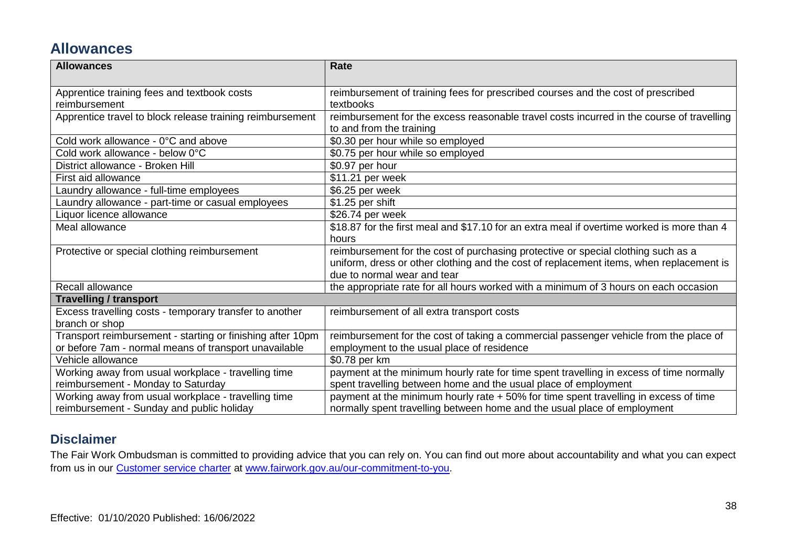### **Allowances**

| <b>Allowances</b>                                          | <b>Rate</b>                                                                                |
|------------------------------------------------------------|--------------------------------------------------------------------------------------------|
|                                                            |                                                                                            |
| Apprentice training fees and textbook costs                | reimbursement of training fees for prescribed courses and the cost of prescribed           |
| reimbursement                                              | textbooks                                                                                  |
| Apprentice travel to block release training reimbursement  | reimbursement for the excess reasonable travel costs incurred in the course of travelling  |
|                                                            | to and from the training                                                                   |
| Cold work allowance - 0°C and above                        | \$0.30 per hour while so employed                                                          |
| Cold work allowance - below 0°C                            | \$0.75 per hour while so employed                                                          |
| District allowance - Broken Hill                           | \$0.97 per hour                                                                            |
| First aid allowance                                        | \$11.21 per week                                                                           |
| Laundry allowance - full-time employees                    | \$6.25 per week                                                                            |
| Laundry allowance - part-time or casual employees          | \$1.25 per shift                                                                           |
| Liquor licence allowance                                   | \$26.74 per week                                                                           |
| Meal allowance                                             | \$18.87 for the first meal and \$17.10 for an extra meal if overtime worked is more than 4 |
|                                                            | hours                                                                                      |
| Protective or special clothing reimbursement               | reimbursement for the cost of purchasing protective or special clothing such as a          |
|                                                            | uniform, dress or other clothing and the cost of replacement items, when replacement is    |
|                                                            | due to normal wear and tear                                                                |
| Recall allowance                                           | the appropriate rate for all hours worked with a minimum of 3 hours on each occasion       |
| <b>Travelling / transport</b>                              |                                                                                            |
| Excess travelling costs - temporary transfer to another    | reimbursement of all extra transport costs                                                 |
| branch or shop                                             |                                                                                            |
| Transport reimbursement - starting or finishing after 10pm | reimbursement for the cost of taking a commercial passenger vehicle from the place of      |
| or before 7am - normal means of transport unavailable      | employment to the usual place of residence                                                 |
| Vehicle allowance                                          | \$0.78 per km                                                                              |
| Working away from usual workplace - travelling time        | payment at the minimum hourly rate for time spent travelling in excess of time normally    |
| reimbursement - Monday to Saturday                         | spent travelling between home and the usual place of employment                            |
| Working away from usual workplace - travelling time        | payment at the minimum hourly rate + 50% for time spent travelling in excess of time       |
| reimbursement - Sunday and public holiday                  | normally spent travelling between home and the usual place of employment                   |

### **Disclaimer**

The Fair Work Ombudsman is committed to providing advice that you can rely on. You can find out more about accountability and what you can expect from us in our [Customer service charter](https://www.fairwork.gov.au/about-us/our-role-and-purpose/our-priorities/our-commitment-to-you#customer-service-charter) at [www.fairwork.gov.au/our-commitment-to-you.](http://www.fairwork.gov.au/our-commitment-to-you)